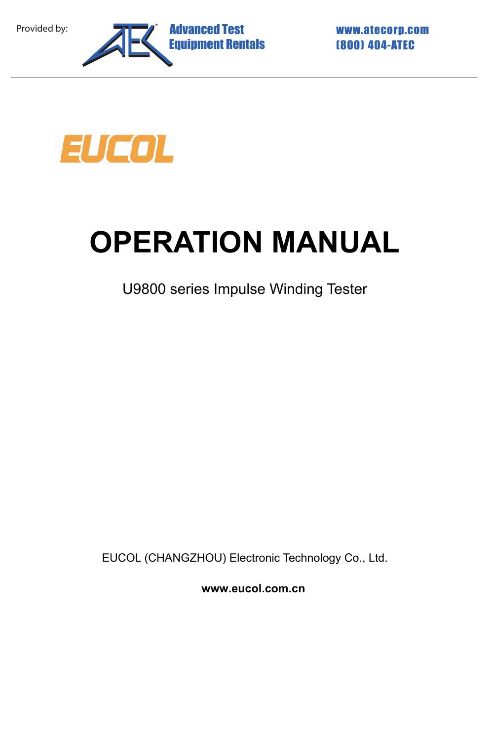



# **OPERATION MANUAL**

U9800 series Impulse Winding Tester

EUCOL (CHANGZHOU) Electronic Technology Co., Ltd.

**www.eucol.com.cn**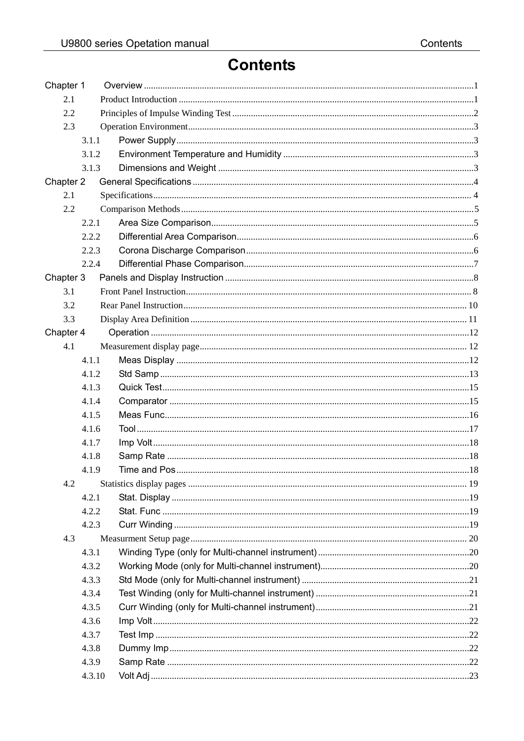### **Contents**

| Chapter 1 |        |  |  |  |
|-----------|--------|--|--|--|
| 2.1       |        |  |  |  |
| 2.2       |        |  |  |  |
| 2.3       |        |  |  |  |
|           | 3.1.1  |  |  |  |
|           | 3.1.2  |  |  |  |
|           | 3.1.3  |  |  |  |
| Chapter 2 |        |  |  |  |
| 2.1       |        |  |  |  |
| 2.2       |        |  |  |  |
|           | 2.2.1  |  |  |  |
|           | 2.2.2  |  |  |  |
|           | 2.2.3  |  |  |  |
|           | 2.2.4  |  |  |  |
| Chapter 3 |        |  |  |  |
| 3.1       |        |  |  |  |
| 3.2       |        |  |  |  |
| 3.3       |        |  |  |  |
| Chapter 4 |        |  |  |  |
| 4.1       |        |  |  |  |
|           | 4.1.1  |  |  |  |
|           | 4.1.2  |  |  |  |
|           | 4.1.3  |  |  |  |
|           | 4.1.4  |  |  |  |
|           | 4.1.5  |  |  |  |
|           | 4.1.6  |  |  |  |
|           | 4.1.7  |  |  |  |
|           | 4.1.8  |  |  |  |
|           | 4.1.9  |  |  |  |
| 4.2       |        |  |  |  |
|           | 4.2.1  |  |  |  |
|           | 4.2.2  |  |  |  |
|           | 4.2.3  |  |  |  |
| 4.3       |        |  |  |  |
|           | 4.3.1  |  |  |  |
|           | 4.3.2  |  |  |  |
|           | 4.3.3  |  |  |  |
|           | 4.3.4  |  |  |  |
|           | 4.3.5  |  |  |  |
|           | 4.3.6  |  |  |  |
|           | 4.3.7  |  |  |  |
|           | 4.3.8  |  |  |  |
|           | 4.3.9  |  |  |  |
|           | 4.3.10 |  |  |  |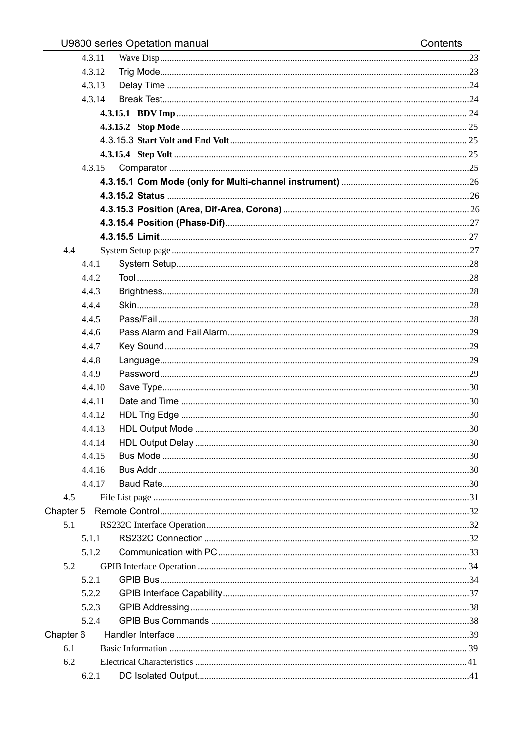|           | 4.3.11 |  |
|-----------|--------|--|
|           | 4.3.12 |  |
|           | 4.3.13 |  |
|           | 4.3.14 |  |
|           |        |  |
|           |        |  |
|           |        |  |
|           |        |  |
|           | 4.3.15 |  |
|           |        |  |
|           |        |  |
|           |        |  |
|           |        |  |
|           |        |  |
| 4.4       |        |  |
|           | 4.4.1  |  |
|           | 4.4.2  |  |
|           | 4.4.3  |  |
|           | 4.4.4  |  |
|           | 4.4.5  |  |
|           | 4.4.6  |  |
|           | 4.4.7  |  |
|           | 4.4.8  |  |
|           | 4.4.9  |  |
|           | 4.4.10 |  |
|           | 4.4.11 |  |
|           | 4.4.12 |  |
|           | 4.4.13 |  |
|           | 4.4.14 |  |
|           | 4.4.15 |  |
|           | 4.4.16 |  |
|           | 4.4.17 |  |
| 4.5       |        |  |
| Chapter 5 |        |  |
| 5.1       |        |  |
|           | 5.1.1  |  |
|           | 5.1.2  |  |
| 5.2       |        |  |
|           | 5.2.1  |  |
|           | 5.2.2  |  |
|           | 5.2.3  |  |
|           | 5.2.4  |  |
| Chapter 6 |        |  |
| 6.1       |        |  |
| 6.2       |        |  |
|           | 6.2.1  |  |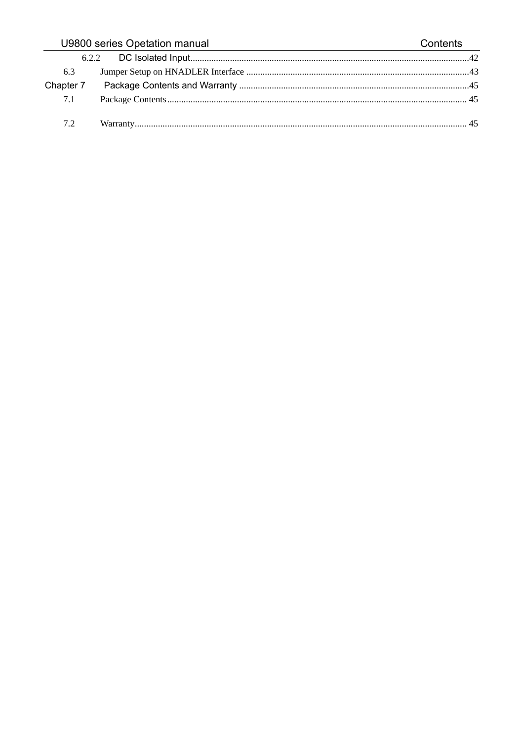#### U9800 series Opetation manual Contents 6.2.2 6.3 Chapter 7  $7.1$  $7.2$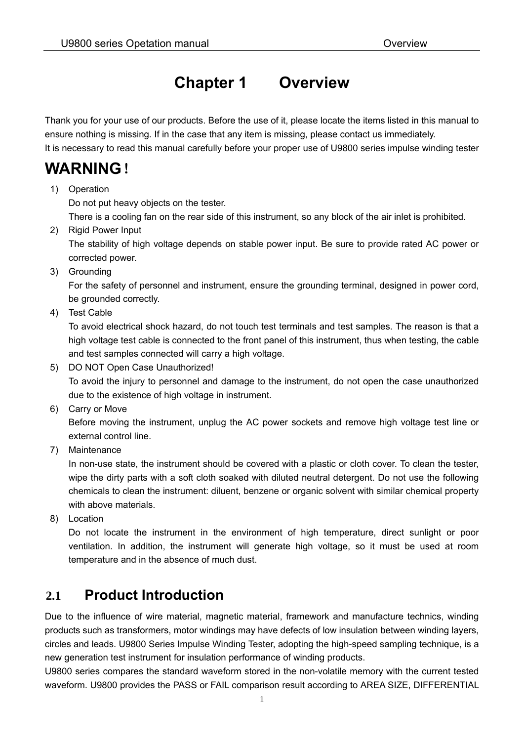### **Chapter 1 Overview**

Thank you for your use of our products. Before the use of it, please locate the items listed in this manual to ensure nothing is missing. If in the case that any item is missing, please contact us immediately.

It is necessary to read this manual carefully before your proper use of U9800 series impulse winding tester

### **WARNING**!

1) Operation

Do not put heavy objects on the tester.

There is a cooling fan on the rear side of this instrument, so any block of the air inlet is prohibited.

2) Rigid Power Input

The stability of high voltage depends on stable power input. Be sure to provide rated AC power or corrected power.

3) Grounding

For the safety of personnel and instrument, ensure the grounding terminal, designed in power cord, be grounded correctly.

4) Test Cable

To avoid electrical shock hazard, do not touch test terminals and test samples. The reason is that a high voltage test cable is connected to the front panel of this instrument, thus when testing, the cable and test samples connected will carry a high voltage.

5) DO NOT Open Case Unauthorized!

To avoid the injury to personnel and damage to the instrument, do not open the case unauthorized due to the existence of high voltage in instrument.

6) Carry or Move

Before moving the instrument, unplug the AC power sockets and remove high voltage test line or external control line.

7) Maintenance

In non-use state, the instrument should be covered with a plastic or cloth cover. To clean the tester, wipe the dirty parts with a soft cloth soaked with diluted neutral detergent. Do not use the following chemicals to clean the instrument: diluent, benzene or organic solvent with similar chemical property with above materials.

8) Location

Do not locate the instrument in the environment of high temperature, direct sunlight or poor ventilation. In addition, the instrument will generate high voltage, so it must be used at room temperature and in the absence of much dust.

### **2.1 Product Introduction**

Due to the influence of wire material, magnetic material, framework and manufacture technics, winding products such as transformers, motor windings may have defects of low insulation between winding layers, circles and leads. U9800 Series Impulse Winding Tester, adopting the high-speed sampling technique, is a new generation test instrument for insulation performance of winding products.

U9800 series compares the standard waveform stored in the non-volatile memory with the current tested waveform. U9800 provides the PASS or FAIL comparison result according to AREA SIZE, DIFFERENTIAL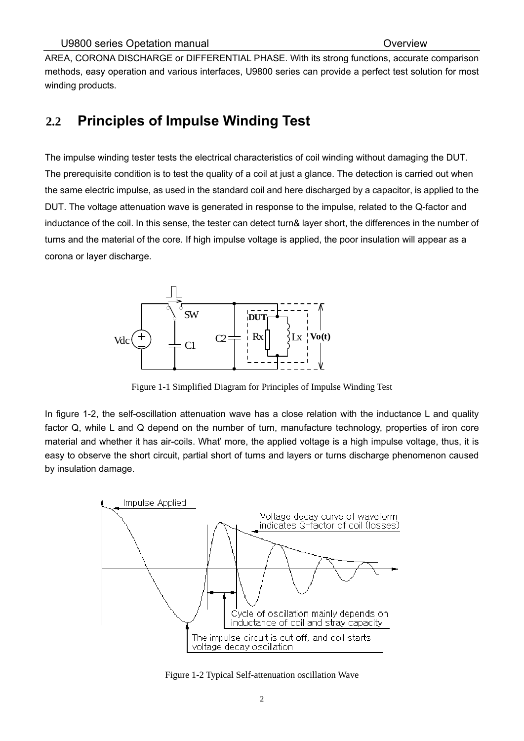AREA, CORONA DISCHARGE or DIFFERENTIAL PHASE. With its strong functions, accurate comparison methods, easy operation and various interfaces, U9800 series can provide a perfect test solution for most winding products.

### **2.2 Principles of Impulse Winding Test**

The impulse winding tester tests the electrical characteristics of coil winding without damaging the DUT. The prerequisite condition is to test the quality of a coil at just a glance. The detection is carried out when the same electric impulse, as used in the standard coil and here discharged by a capacitor, is applied to the DUT. The voltage attenuation wave is generated in response to the impulse, related to the Q-factor and inductance of the coil. In this sense, the tester can detect turn& layer short, the differences in the number of turns and the material of the core. If high impulse voltage is applied, the poor insulation will appear as a corona or layer discharge.



Figure 1-1 Simplified Diagram for Principles of Impulse Winding Test

In figure 1-2, the self-oscillation attenuation wave has a close relation with the inductance L and quality factor Q, while L and Q depend on the number of turn, manufacture technology, properties of iron core material and whether it has air-coils. What' more, the applied voltage is a high impulse voltage, thus, it is easy to observe the short circuit, partial short of turns and layers or turns discharge phenomenon caused by insulation damage.



Figure 1-2 Typical Self-attenuation oscillation Wave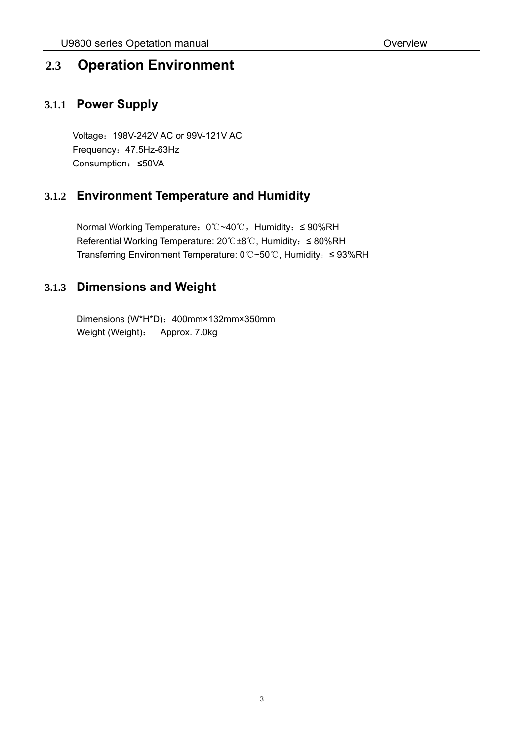#### **2.3 Operation Environment**

#### **3.1.1 Power Supply**

Voltage:198V-242V AC or 99V-121V AC Frequency:47.5Hz-63Hz Consumption:≤50VA

#### **3.1.2 Environment Temperature and Humidity**

Normal Working Temperature: 0℃~40℃, Humidity: ≤ 90%RH Referential Working Temperature: 20℃±8℃, Humidity: ≤ 80%RH Transferring Environment Temperature: 0℃~50℃, Humidity:≤ 93%RH

#### **3.1.3 Dimensions and Weight**

Dimensions (W\*H\*D): 400mm×132mm×350mm Weight (Weight): Approx. 7.0kg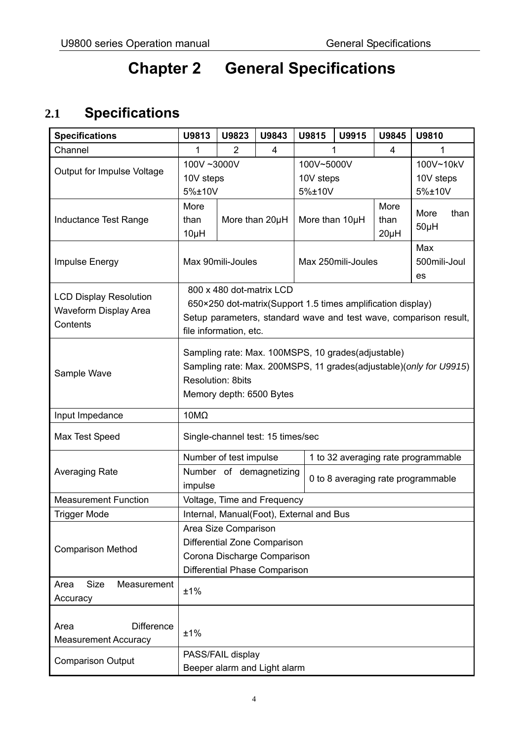## **Chapter 2 General Specifications**

### **2.1 Specifications**

| <b>Specifications</b>              | U9813                                    | U9823                  | U9843                    | U9815                               | U9915                                                       | U9845        | U9810                                                              |
|------------------------------------|------------------------------------------|------------------------|--------------------------|-------------------------------------|-------------------------------------------------------------|--------------|--------------------------------------------------------------------|
| Channel                            | 1                                        | $\overline{2}$         | 4                        |                                     | 1                                                           | 4            | 1                                                                  |
|                                    | 100V~3000V                               |                        |                          | 100V~5000V                          |                                                             |              | 100V~10kV                                                          |
| Output for Impulse Voltage         | 10V steps                                |                        |                          | 10V steps                           |                                                             |              | 10V steps                                                          |
|                                    | 5%±10V                                   |                        |                          | 5%±10V                              |                                                             |              | 5%±10V                                                             |
|                                    | More                                     |                        |                          |                                     |                                                             | More         |                                                                    |
| Inductance Test Range              | than                                     |                        | More than 20µH           | More than 10µH<br>than              |                                                             |              | More<br>than                                                       |
|                                    | $10\mu$ H                                |                        |                          |                                     |                                                             | $50\mu H$    |                                                                    |
|                                    |                                          |                        |                          |                                     |                                                             |              | Max                                                                |
| Impulse Energy                     |                                          | Max 90mili-Joules      |                          |                                     | Max 250mili-Joules                                          | 500mili-Joul |                                                                    |
|                                    |                                          |                        |                          |                                     |                                                             |              | es                                                                 |
|                                    |                                          |                        | 800 x 480 dot-matrix LCD |                                     |                                                             |              |                                                                    |
| <b>LCD Display Resolution</b>      |                                          |                        |                          |                                     | 650×250 dot-matrix(Support 1.5 times amplification display) |              |                                                                    |
| Waveform Display Area              |                                          |                        |                          |                                     |                                                             |              | Setup parameters, standard wave and test wave, comparison result,  |
| Contents                           |                                          | file information, etc. |                          |                                     |                                                             |              |                                                                    |
|                                    |                                          |                        |                          |                                     |                                                             |              |                                                                    |
|                                    |                                          |                        |                          |                                     | Sampling rate: Max. 100MSPS, 10 grades(adjustable)          |              |                                                                    |
| Sample Wave                        |                                          | Resolution: 8bits      |                          |                                     |                                                             |              | Sampling rate: Max. 200MSPS, 11 grades(adjustable)(only for U9915) |
|                                    |                                          |                        |                          |                                     |                                                             |              |                                                                    |
|                                    | Memory depth: 6500 Bytes                 |                        |                          |                                     |                                                             |              |                                                                    |
| Input Impedance                    | $10M\Omega$                              |                        |                          |                                     |                                                             |              |                                                                    |
| Max Test Speed                     | Single-channel test: 15 times/sec        |                        |                          |                                     |                                                             |              |                                                                    |
|                                    | Number of test impulse                   |                        |                          | 1 to 32 averaging rate programmable |                                                             |              |                                                                    |
| <b>Averaging Rate</b>              | Number of demagnetizing                  |                        |                          |                                     |                                                             |              |                                                                    |
|                                    | impulse                                  |                        |                          | 0 to 8 averaging rate programmable  |                                                             |              |                                                                    |
| <b>Measurement Function</b>        | Voltage, Time and Frequency              |                        |                          |                                     |                                                             |              |                                                                    |
| <b>Trigger Mode</b>                | Internal, Manual(Foot), External and Bus |                        |                          |                                     |                                                             |              |                                                                    |
|                                    | Area Size Comparison                     |                        |                          |                                     |                                                             |              |                                                                    |
|                                    | Differential Zone Comparison             |                        |                          |                                     |                                                             |              |                                                                    |
| <b>Comparison Method</b>           | Corona Discharge Comparison              |                        |                          |                                     |                                                             |              |                                                                    |
|                                    | Differential Phase Comparison            |                        |                          |                                     |                                                             |              |                                                                    |
| <b>Size</b><br>Measurement<br>Area |                                          |                        |                          |                                     |                                                             |              |                                                                    |
| Accuracy                           | ±1%                                      |                        |                          |                                     |                                                             |              |                                                                    |
|                                    |                                          |                        |                          |                                     |                                                             |              |                                                                    |
| <b>Difference</b><br>Area          |                                          |                        |                          |                                     |                                                             |              |                                                                    |
| <b>Measurement Accuracy</b>        | ±1%                                      |                        |                          |                                     |                                                             |              |                                                                    |
|                                    | PASS/FAIL display                        |                        |                          |                                     |                                                             |              |                                                                    |
| <b>Comparison Output</b>           | Beeper alarm and Light alarm             |                        |                          |                                     |                                                             |              |                                                                    |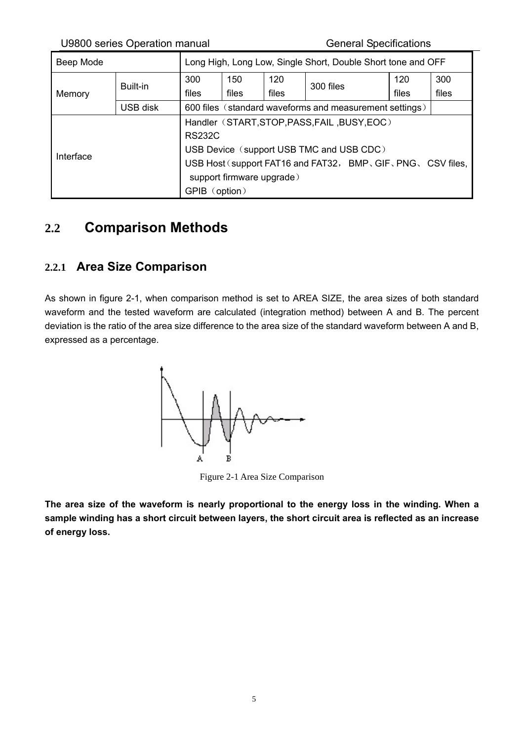U9800 series Operation manual General Specifications

| Beep Mode |          | Long High, Long Low, Single Short, Double Short tone and OFF |                           |       |                                                         |       |       |
|-----------|----------|--------------------------------------------------------------|---------------------------|-------|---------------------------------------------------------|-------|-------|
|           | Built-in | 300                                                          | 150                       | 120   | 300 files                                               | 120   | 300   |
| Memory    |          | files                                                        | files                     | files |                                                         | files | files |
|           | USB disk |                                                              |                           |       | 600 files (standard waveforms and measurement settings) |       |       |
|           |          | Handler (START, STOP, PASS, FAIL, BUSY, EOC)                 |                           |       |                                                         |       |       |
|           |          | <b>RS232C</b>                                                |                           |       |                                                         |       |       |
|           |          | USB Device (support USB TMC and USB CDC)                     |                           |       |                                                         |       |       |
| Interface |          | USB Host (support FAT16 and FAT32, BMP, GIF, PNG, CSV files, |                           |       |                                                         |       |       |
|           |          |                                                              | support firmware upgrade) |       |                                                         |       |       |
|           |          | GPIB (option)                                                |                           |       |                                                         |       |       |

### **2.2 Comparison Methods**

#### **2.2.1 Area Size Comparison**

As shown in figure 2-1, when comparison method is set to AREA SIZE, the area sizes of both standard waveform and the tested waveform are calculated (integration method) between A and B. The percent deviation is the ratio of the area size difference to the area size of the standard waveform between A and B, expressed as a percentage.



Figure 2-1 Area Size Comparison

**The area size of the waveform is nearly proportional to the energy loss in the winding. When a sample winding has a short circuit between layers, the short circuit area is reflected as an increase of energy loss.**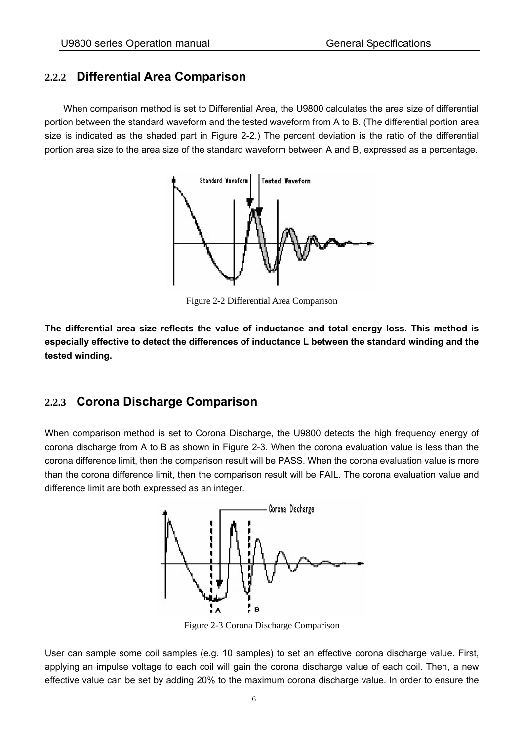#### **2.2.2 Differential Area Comparison**

When comparison method is set to Differential Area, the U9800 calculates the area size of differential portion between the standard waveform and the tested waveform from A to B. (The differential portion area size is indicated as the shaded part in Figure 2-2.) The percent deviation is the ratio of the differential portion area size to the area size of the standard waveform between A and B, expressed as a percentage.



Figure 2-2 Differential Area Comparison

**The differential area size reflects the value of inductance and total energy loss. This method is especially effective to detect the differences of inductance L between the standard winding and the tested winding.** 

#### **2.2.3 Corona Discharge Comparison**

When comparison method is set to Corona Discharge, the U9800 detects the high frequency energy of corona discharge from A to B as shown in Figure 2-3. When the corona evaluation value is less than the corona difference limit, then the comparison result will be PASS. When the corona evaluation value is more than the corona difference limit, then the comparison result will be FAIL. The corona evaluation value and difference limit are both expressed as an integer.



Figure 2-3 Corona Discharge Comparison

User can sample some coil samples (e.g. 10 samples) to set an effective corona discharge value. First, applying an impulse voltage to each coil will gain the corona discharge value of each coil. Then, a new effective value can be set by adding 20% to the maximum corona discharge value. In order to ensure the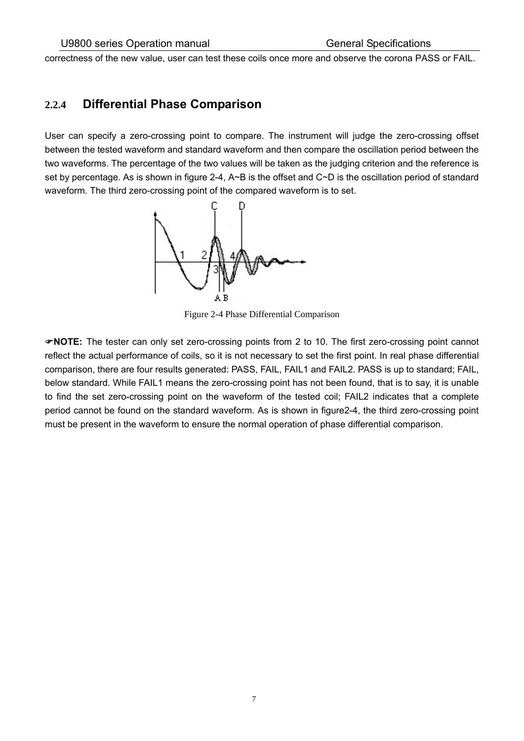correctness of the new value, user can test these coils once more and observe the corona PASS or FAIL.

#### **2.2.4 Differential Phase Comparison**

User can specify a zero-crossing point to compare. The instrument will judge the zero-crossing offset between the tested waveform and standard waveform and then compare the oscillation period between the two waveforms. The percentage of the two values will be taken as the judging criterion and the reference is set by percentage. As is shown in figure 2-4, A~B is the offset and C~D is the oscillation period of standard waveform. The third zero-crossing point of the compared waveform is to set.



Figure 2-4 Phase Differential Comparison

**NOTE:** The tester can only set zero-crossing points from 2 to 10. The first zero-crossing point cannot reflect the actual performance of coils, so it is not necessary to set the first point. In real phase differential comparison, there are four results generated: PASS, FAIL, FAIL1 and FAIL2. PASS is up to standard; FAIL, below standard. While FAIL1 means the zero-crossing point has not been found, that is to say, it is unable to find the set zero-crossing point on the waveform of the tested coil; FAIL2 indicates that a complete period cannot be found on the standard waveform. As is shown in figure2-4, the third zero-crossing point must be present in the waveform to ensure the normal operation of phase differential comparison.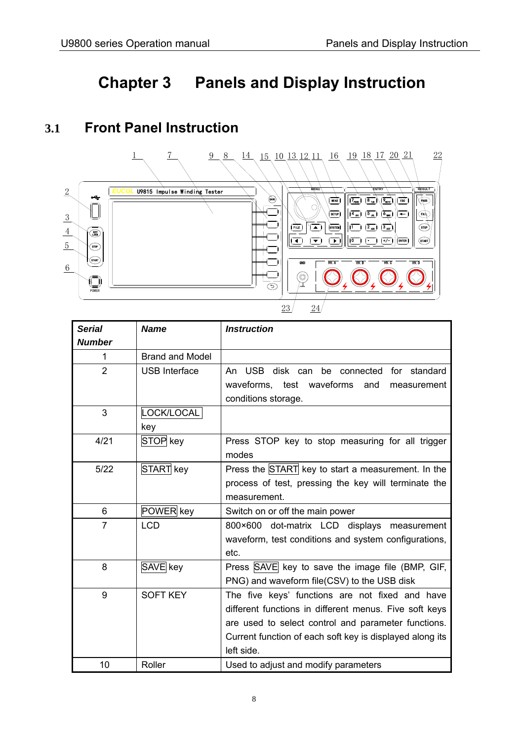### **Chapter 3 Panels and Display Instruction**

### **3.1 Front Panel Instruction**



| <b>Serial</b>  | <b>Name</b>            | <b>Instruction</b>                                                     |
|----------------|------------------------|------------------------------------------------------------------------|
| <b>Number</b>  |                        |                                                                        |
| 1              | <b>Brand and Model</b> |                                                                        |
| $\overline{2}$ | <b>USB Interface</b>   | An USB disk can be connected for standard                              |
|                |                        | waveforms, test waveforms<br>and<br>measurement<br>conditions storage. |
| 3              | LOCK/LOCAL             |                                                                        |
|                | key                    |                                                                        |
| 4/21           | STOP key               | Press STOP key to stop measuring for all trigger                       |
|                |                        | modes                                                                  |
| $5/22$         | START key              | Press the START key to start a measurement. In the                     |
|                |                        | process of test, pressing the key will terminate the                   |
|                |                        | measurement.                                                           |
| 6              | POWER key              | Switch on or off the main power                                        |
| $\overline{7}$ | <b>LCD</b>             | 800×600 dot-matrix LCD displays measurement                            |
|                |                        | waveform, test conditions and system configurations,                   |
|                |                        | etc.                                                                   |
| 8              | SAVE key               | Press SAVE key to save the image file (BMP, GIF,                       |
|                |                        | PNG) and waveform file(CSV) to the USB disk                            |
| 9              | <b>SOFT KEY</b>        | The five keys' functions are not fixed and have                        |
|                |                        | different functions in different menus. Five soft keys                 |
|                |                        | are used to select control and parameter functions.                    |
|                |                        | Current function of each soft key is displayed along its               |
|                |                        | left side.                                                             |
| 10             | Roller                 | Used to adjust and modify parameters                                   |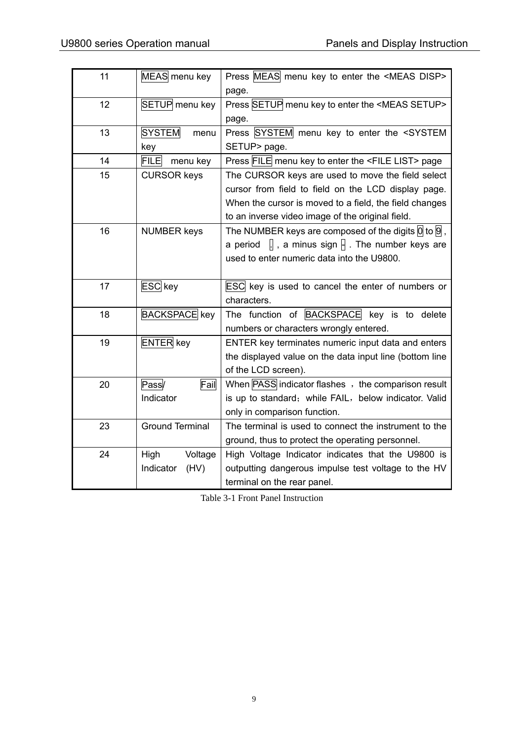| 11 | MEAS menu key           | Press MEAS menu key to enter the <meas disp=""></meas>                        |
|----|-------------------------|-------------------------------------------------------------------------------|
|    |                         | page.                                                                         |
| 12 | SETUP menu key          | Press SETUP menu key to enter the <meas setup=""></meas>                      |
|    |                         | page.                                                                         |
| 13 | <b>SYSTEM</b><br>menu   | Press SYSTEM menu key to enter the <system< td=""></system<>                  |
|    | key                     | SETUP> page.                                                                  |
| 14 | <b>FILE</b><br>menu key | Press FILE menu key to enter the <file list=""> page</file>                   |
| 15 | <b>CURSOR keys</b>      | The CURSOR keys are used to move the field select                             |
|    |                         | cursor from field to field on the LCD display page.                           |
|    |                         | When the cursor is moved to a field, the field changes                        |
|    |                         | to an inverse video image of the original field.                              |
| 16 | <b>NUMBER keys</b>      | The NUMBER keys are composed of the digits $\overline{0}$ to $\overline{9}$ , |
|    |                         | a period $\[\ ]$ , a minus sign $\[\ ]$ . The number keys are                 |
|    |                         | used to enter numeric data into the U9800.                                    |
|    |                         |                                                                               |
| 17 | <b>ESC</b> key          | ESC key is used to cancel the enter of numbers or                             |
|    |                         | characters.                                                                   |
| 18 | <b>BACKSPACE</b> key    | The function of BACKSPACE key is to delete                                    |
|    |                         | numbers or characters wrongly entered.                                        |
| 19 | <b>ENTER</b> key        | ENTER key terminates numeric input data and enters                            |
|    |                         | the displayed value on the data input line (bottom line                       |
|    |                         | of the LCD screen).                                                           |
| 20 | Pass/<br>Fail           | When PASS indicator flashes, the comparison result                            |
|    | Indicator               | is up to standard; while FAIL, below indicator. Valid                         |
|    |                         | only in comparison function.                                                  |
| 23 | <b>Ground Terminal</b>  | The terminal is used to connect the instrument to the                         |
|    |                         | ground, thus to protect the operating personnel.                              |
| 24 | Voltage<br>High         | High Voltage Indicator indicates that the U9800 is                            |
|    | (HV)<br>Indicator       | outputting dangerous impulse test voltage to the HV                           |
|    |                         | terminal on the rear panel.                                                   |

Table 3-1 Front Panel Instruction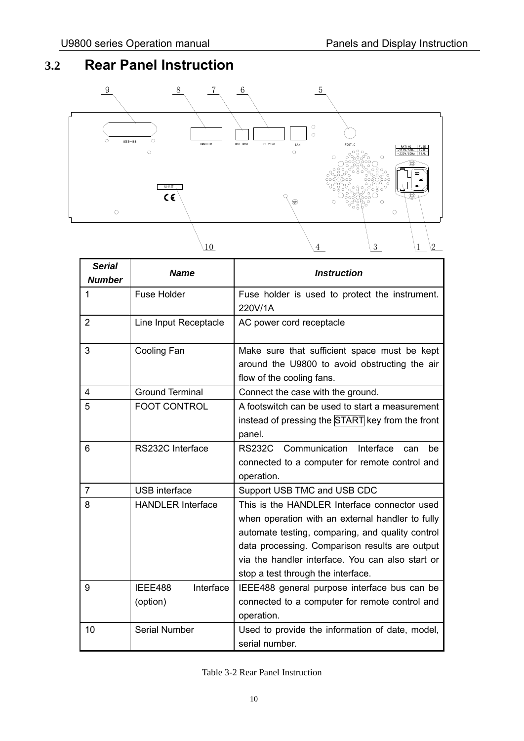### **3.2 Rear Panel Instruction**



| <b>Serial</b><br><b>Number</b> | <b>Name</b>                      | <b>Instruction</b>                                                                                                                                                                                                                                                                               |
|--------------------------------|----------------------------------|--------------------------------------------------------------------------------------------------------------------------------------------------------------------------------------------------------------------------------------------------------------------------------------------------|
| 1                              | <b>Fuse Holder</b>               | Fuse holder is used to protect the instrument.<br>220V/1A                                                                                                                                                                                                                                        |
| $\overline{2}$                 | Line Input Receptacle            | AC power cord receptacle                                                                                                                                                                                                                                                                         |
| 3                              | Cooling Fan                      | Make sure that sufficient space must be kept<br>around the U9800 to avoid obstructing the air<br>flow of the cooling fans.                                                                                                                                                                       |
| 4                              | <b>Ground Terminal</b>           | Connect the case with the ground.                                                                                                                                                                                                                                                                |
| 5                              | <b>FOOT CONTROL</b>              | A footswitch can be used to start a measurement<br>instead of pressing the START key from the front<br>panel.                                                                                                                                                                                    |
| 6                              | RS232C Interface                 | Communication<br><b>RS232C</b><br>Interface<br>can<br>be<br>connected to a computer for remote control and<br>operation.                                                                                                                                                                         |
| $\overline{7}$                 | <b>USB</b> interface             | Support USB TMC and USB CDC                                                                                                                                                                                                                                                                      |
| 8                              | <b>HANDLER Interface</b>         | This is the HANDLER Interface connector used<br>when operation with an external handler to fully<br>automate testing, comparing, and quality control<br>data processing. Comparison results are output<br>via the handler interface. You can also start or<br>stop a test through the interface. |
| 9                              | Interface<br>IEEE488<br>(option) | IEEE488 general purpose interface bus can be<br>connected to a computer for remote control and<br>operation.                                                                                                                                                                                     |
| 10                             | <b>Serial Number</b>             | Used to provide the information of date, model,<br>serial number.                                                                                                                                                                                                                                |

#### Table 3-2 Rear Panel Instruction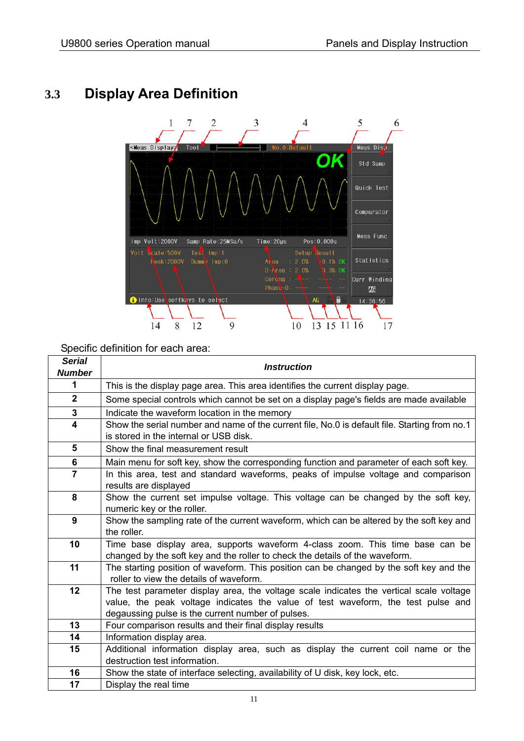### **3.3 Display Area Definition**



Specific definition for each area:

| <b>Serial</b><br><b>Number</b> | <b>Instruction</b>                                                                                                                      |
|--------------------------------|-----------------------------------------------------------------------------------------------------------------------------------------|
| 1                              | This is the display page area. This area identifies the current display page.                                                           |
|                                |                                                                                                                                         |
| $\mathbf{2}$                   | Some special controls which cannot be set on a display page's fields are made available                                                 |
| 3                              | Indicate the waveform location in the memory                                                                                            |
| 4                              | Show the serial number and name of the current file, No.0 is default file. Starting from no.1<br>is stored in the internal or USB disk. |
| 5                              | Show the final measurement result                                                                                                       |
| 6                              | Main menu for soft key, show the corresponding function and parameter of each soft key.                                                 |
| $\overline{7}$                 | In this area, test and standard waveforms, peaks of impulse voltage and comparison<br>results are displayed                             |
| 8                              | Show the current set impulse voltage. This voltage can be changed by the soft key,                                                      |
|                                | numeric key or the roller.                                                                                                              |
| 9                              | Show the sampling rate of the current waveform, which can be altered by the soft key and                                                |
|                                | the roller.                                                                                                                             |
| 10                             | Time base display area, supports waveform 4-class zoom. This time base can be                                                           |
|                                | changed by the soft key and the roller to check the details of the waveform.                                                            |
| 11                             | The starting position of waveform. This position can be changed by the soft key and the                                                 |
|                                | roller to view the details of waveform.                                                                                                 |
| 12                             | The test parameter display area, the voltage scale indicates the vertical scale voltage                                                 |
|                                | value, the peak voltage indicates the value of test waveform, the test pulse and                                                        |
|                                | degaussing pulse is the current number of pulses.                                                                                       |
| 13                             | Four comparison results and their final display results                                                                                 |
| 14                             | Information display area.                                                                                                               |
| 15                             | Additional information display area, such as display the current coil name or the                                                       |
|                                | destruction test information.                                                                                                           |
| 16                             | Show the state of interface selecting, availability of U disk, key lock, etc.                                                           |
| 17                             | Display the real time                                                                                                                   |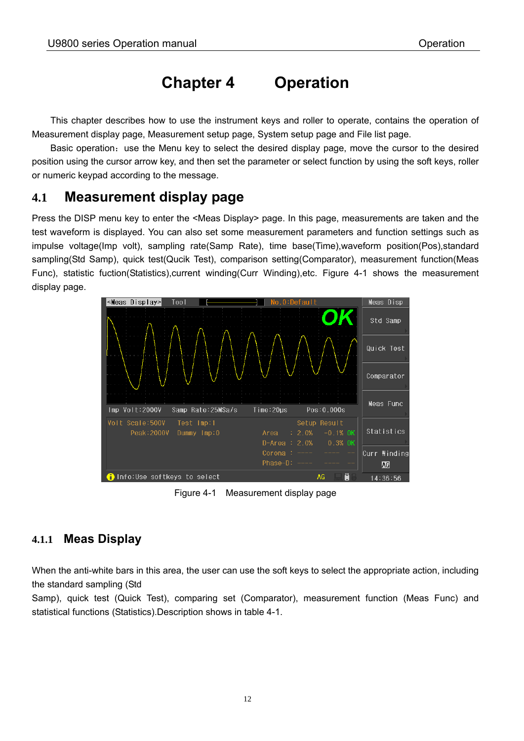### **Chapter 4 Operation**

 This chapter describes how to use the instrument keys and roller to operate, contains the operation of Measurement display page, Measurement setup page, System setup page and File list page.

Basic operation: use the Menu key to select the desired display page, move the cursor to the desired position using the cursor arrow key, and then set the parameter or select function by using the soft keys, roller or numeric keypad according to the message.

### **4.1 Measurement display page**

Press the DISP menu key to enter the <Meas Display> page. In this page, measurements are taken and the test waveform is displayed. You can also set some measurement parameters and function settings such as impulse voltage(Imp volt), sampling rate(Samp Rate), time base(Time),waveform position(Pos),standard sampling(Std Samp), quick test(Qucik Test), comparison setting(Comparator), measurement function(Meas Func), statistic fuction(Statistics),current winding(Curr Winding),etc. Figure 4-1 shows the measurement display page.



Figure 4-1 Measurement display page

#### **4.1.1 Meas Display**

When the anti-white bars in this area, the user can use the soft keys to select the appropriate action, including the standard sampling (Std

Samp), quick test (Quick Test), comparing set (Comparator), measurement function (Meas Func) and statistical functions (Statistics).Description shows in table 4-1.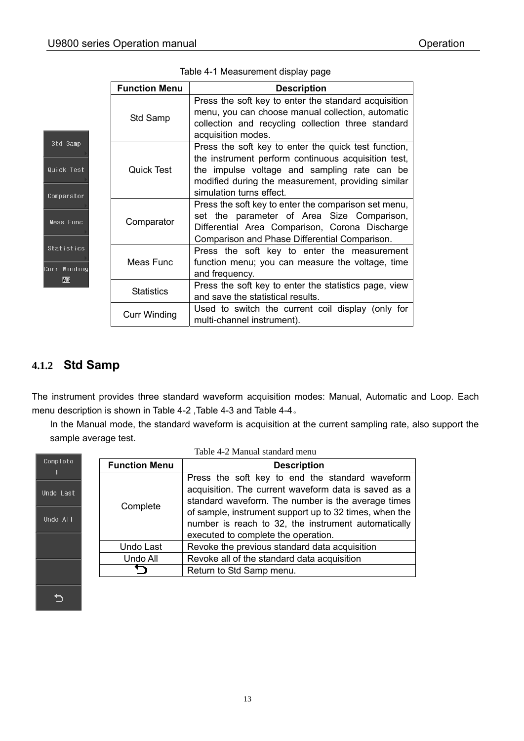|            | <b>Function Menu</b> | <b>Description</b>                                                                                                                                                                                                                            |
|------------|----------------------|-----------------------------------------------------------------------------------------------------------------------------------------------------------------------------------------------------------------------------------------------|
|            | Std Samp             | Press the soft key to enter the standard acquisition<br>menu, you can choose manual collection, automatic<br>collection and recycling collection three standard<br>acquisition modes.                                                         |
| st.<br>)r  | Quick Test           | Press the soft key to enter the quick test function,<br>the instrument perform continuous acquisition test,<br>the impulse voltage and sampling rate can be<br>modified during the measurement, providing similar<br>simulation turns effect. |
| Ċ.         | Comparator           | Press the soft key to enter the comparison set menu,<br>set the parameter of Area Size Comparison,<br>Differential Area Comparison, Corona Discharge<br>Comparison and Phase Differential Comparison.                                         |
| ts:<br>ing | Meas Func            | Press the soft key to enter the measurement<br>function menu; you can measure the voltage, time<br>and frequency.                                                                                                                             |
|            | <b>Statistics</b>    | Press the soft key to enter the statistics page, view<br>and save the statistical results.                                                                                                                                                    |
|            | <b>Curr Winding</b>  | Used to switch the current coil display (only for<br>multi-channel instrument).                                                                                                                                                               |

#### Table 4-1 Measurement display page

#### **4.1.2 Std Samp**

Std Sam

Quick Tes

Comparato

Meas Fun

Statisti

Curr ₩ind  $\pmb{\mathbb{M}}$ 

The instrument provides three standard waveform acquisition modes: Manual, Automatic and Loop. Each menu description is shown in Table 4-2 ,Table 4-3 and Table 4-4。

 In the Manual mode, the standard waveform is acquisition at the current sampling rate, also support the sample average test.

| Complete              | <b>Function Menu</b> | <b>Description</b>                                                                                                                                                                                                                                                                                                    |
|-----------------------|----------------------|-----------------------------------------------------------------------------------------------------------------------------------------------------------------------------------------------------------------------------------------------------------------------------------------------------------------------|
| Undo Last<br>Undo All | Complete             | Press the soft key to end the standard waveform<br>acquisition. The current waveform data is saved as a<br>standard waveform. The number is the average times<br>of sample, instrument support up to 32 times, when the<br>number is reach to 32, the instrument automatically<br>executed to complete the operation. |
|                       | Undo Last            | Revoke the previous standard data acquisition                                                                                                                                                                                                                                                                         |
|                       | Undo All             | Revoke all of the standard data acquisition                                                                                                                                                                                                                                                                           |
|                       |                      | Return to Std Samp menu.                                                                                                                                                                                                                                                                                              |
|                       |                      |                                                                                                                                                                                                                                                                                                                       |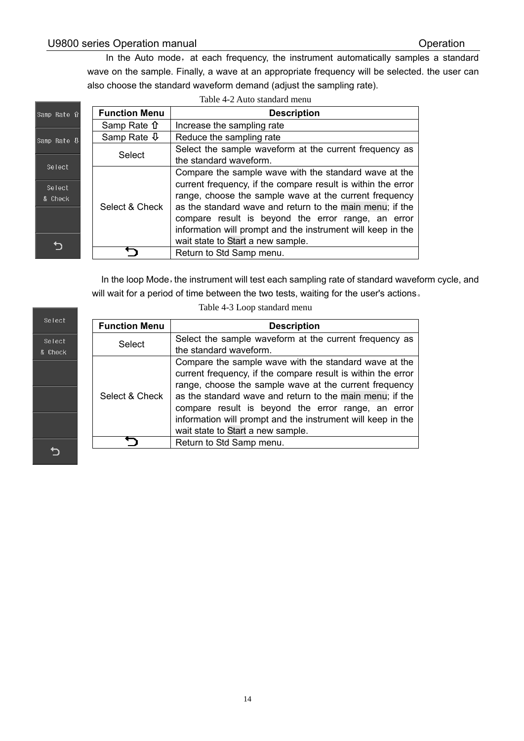In the Auto mode, at each frequency, the instrument automatically samples a standard wave on the sample. Finally, a wave at an appropriate frequency will be selected. the user can also choose the standard waveform demand (adjust the sampling rate).

|                         |                      | Table 4-2 Auto standard menu                                                                                                                                                                                                                                                                                                                                     |
|-------------------------|----------------------|------------------------------------------------------------------------------------------------------------------------------------------------------------------------------------------------------------------------------------------------------------------------------------------------------------------------------------------------------------------|
| ,Rate 介                 | <b>Function Menu</b> | <b>Description</b>                                                                                                                                                                                                                                                                                                                                               |
|                         | Samp Rate n          | Increase the sampling rate                                                                                                                                                                                                                                                                                                                                       |
| o Rate <sup>U</sup>     | Samp Rate $\Phi$     | Reduce the sampling rate                                                                                                                                                                                                                                                                                                                                         |
|                         | Select               | Select the sample waveform at the current frequency as<br>the standard waveform.                                                                                                                                                                                                                                                                                 |
| elect<br>elect<br>Check | Select & Check       | Compare the sample wave with the standard wave at the<br>current frequency, if the compare result is within the error<br>range, choose the sample wave at the current frequency<br>as the standard wave and return to the main menu; if the<br>compare result is beyond the error range, an error<br>information will prompt and the instrument will keep in the |
|                         |                      | wait state to Start a new sample.                                                                                                                                                                                                                                                                                                                                |
|                         |                      | Return to Std Samp menu.                                                                                                                                                                                                                                                                                                                                         |

In the loop Mode, the instrument will test each sampling rate of standard waveform cycle, and will wait for a period of time between the two tests, waiting for the user's actions。

| Select            |
|-------------------|
| Select<br>& Check |
|                   |
|                   |
|                   |
|                   |
|                   |

|<br>|Sam

 $|{\tt Sam}|$ 

 $\overline{\mathbf{g}}$ 

Table 4-3 Loop standard menu

| <b>Function Menu</b> | <b>Description</b>                                                                                                                                                                                                                                                                                                                                                                                    |  |  |  |
|----------------------|-------------------------------------------------------------------------------------------------------------------------------------------------------------------------------------------------------------------------------------------------------------------------------------------------------------------------------------------------------------------------------------------------------|--|--|--|
| Select               | Select the sample waveform at the current frequency as                                                                                                                                                                                                                                                                                                                                                |  |  |  |
|                      | the standard waveform.                                                                                                                                                                                                                                                                                                                                                                                |  |  |  |
| Select & Check       | Compare the sample wave with the standard wave at the<br>current frequency, if the compare result is within the error<br>range, choose the sample wave at the current frequency<br>as the standard wave and return to the main menu; if the<br>compare result is beyond the error range, an error<br>information will prompt and the instrument will keep in the<br>wait state to Start a new sample. |  |  |  |
|                      | Return to Std Samp menu.                                                                                                                                                                                                                                                                                                                                                                              |  |  |  |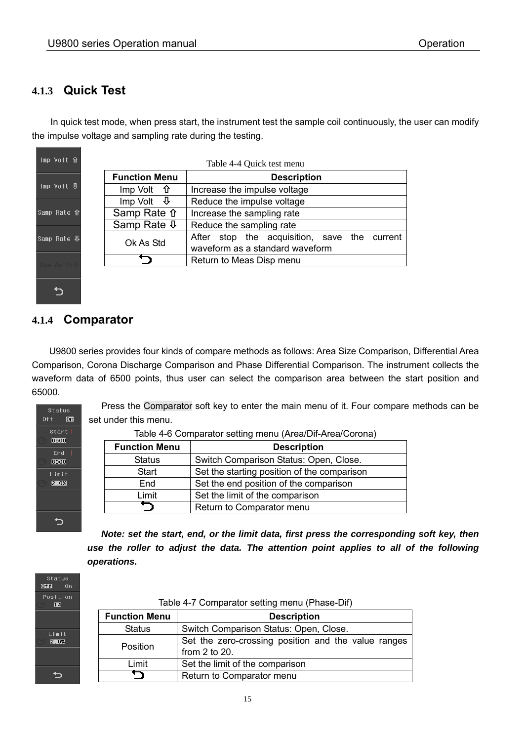#### **4.1.3 Quick Test**

In quick test mode, when press start, the instrument test the sample coil continuously, the user can modify the impulse voltage and sampling rate during the testing.

| mp Volt 介                                   | Table 4-4 Quick test menu     |                                              |  |  |  |  |  |
|---------------------------------------------|-------------------------------|----------------------------------------------|--|--|--|--|--|
|                                             | <b>Function Menu</b>          | <b>Description</b>                           |  |  |  |  |  |
| mp Volt ∯                                   | $Imp$ Volt $\hat{\mathbf{u}}$ | Increase the impulse voltage                 |  |  |  |  |  |
|                                             | - ⊕<br>Imp Volt               | Reduce the impulse voltage                   |  |  |  |  |  |
| amp Rate û                                  | Samp Rate <del>n</del>        | Increase the sampling rate                   |  |  |  |  |  |
|                                             | Samp Rate $\Phi$              | Reduce the sampling rate                     |  |  |  |  |  |
| $\texttt{amp}$ Rate $\overline{\mathbb{V}}$ | Ok As Std                     | After stop the acquisition, save the current |  |  |  |  |  |
|                                             |                               | waveform as a standard waveform              |  |  |  |  |  |
| se As Std                                   | Return to Meas Disp menu      |                                              |  |  |  |  |  |

#### **4.1.4 Comparator**

セ

U9800 series provides four kinds of compare methods as follows: Area Size Comparison, Differential Area Comparison, Corona Discharge Comparison and Phase Differential Comparison. The instrument collects the waveform data of 6500 points, thus user can select the comparison area between the start position and 65000.



Press the Comparator soft key to enter the main menu of it. Four compare methods can be set under this menu.

| <b>Function Menu</b> | <b>Description</b>                          |  |  |
|----------------------|---------------------------------------------|--|--|
| <b>Status</b>        | Switch Comparison Status: Open, Close.      |  |  |
| <b>Start</b>         | Set the starting position of the comparison |  |  |
| End                  | Set the end position of the comparison      |  |  |
| Limit                | Set the limit of the comparison             |  |  |
|                      | Return to Comparator menu                   |  |  |

 *Note: set the start, end, or the limit data, first press the corresponding soft key, then use the roller to adjust the data. The attention point applies to all of the following operations.* 



| Table 4-7 Comparator setting menu (Phase-Dif) |  |  |
|-----------------------------------------------|--|--|
|-----------------------------------------------|--|--|

| <b>Function Menu</b> | <b>Description</b>                                  |  |  |  |
|----------------------|-----------------------------------------------------|--|--|--|
| <b>Status</b>        | Switch Comparison Status: Open, Close.              |  |  |  |
| <b>Position</b>      | Set the zero-crossing position and the value ranges |  |  |  |
|                      | from $2$ to $20$ .                                  |  |  |  |
| Limit                | Set the limit of the comparison                     |  |  |  |
|                      | Return to Comparator menu                           |  |  |  |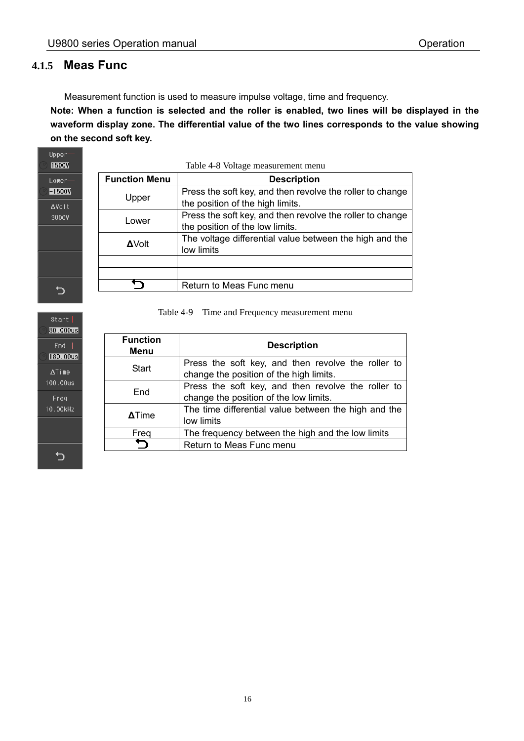#### **4.1.5 Meas Func**

Upper **1500V** Lower  $-1500V$ **AVolt** 3000V

Measurement function is used to measure impulse voltage, time and frequency.

**Note: When a function is selected and the roller is enabled, two lines will be displayed in the waveform display zone. The differential value of the two lines corresponds to the value showing on the second soft key.** 

| Table 4-8 Voltage measurement menu         |                                                                                               |  |  |  |  |
|--------------------------------------------|-----------------------------------------------------------------------------------------------|--|--|--|--|
| <b>Function Menu</b><br><b>Description</b> |                                                                                               |  |  |  |  |
| Upper                                      | Press the soft key, and then revolve the roller to change<br>the position of the high limits. |  |  |  |  |
| Lower                                      | Press the soft key, and then revolve the roller to change<br>the position of the low limits.  |  |  |  |  |
| <b>AVolt</b>                               | The voltage differential value between the high and the<br>low limits                         |  |  |  |  |
|                                            |                                                                                               |  |  |  |  |
|                                            |                                                                                               |  |  |  |  |
|                                            | Return to Meas Func menu                                                                      |  |  |  |  |

Table 4-9 Time and Frequency measurement menu

| <b>Function</b><br>Menu | <b>Description</b>                                   |  |  |  |  |  |
|-------------------------|------------------------------------------------------|--|--|--|--|--|
| <b>Start</b>            | Press the soft key, and then revolve the roller to   |  |  |  |  |  |
|                         | change the position of the high limits.              |  |  |  |  |  |
| End                     | Press the soft key, and then revolve the roller to   |  |  |  |  |  |
|                         | change the position of the low limits.               |  |  |  |  |  |
|                         | The time differential value between the high and the |  |  |  |  |  |
| <b>ATime</b>            | low limits                                           |  |  |  |  |  |
| Freq                    | The frequency between the high and the low limits    |  |  |  |  |  |
|                         | Return to Meas Func menu                             |  |  |  |  |  |



 $\bigcup$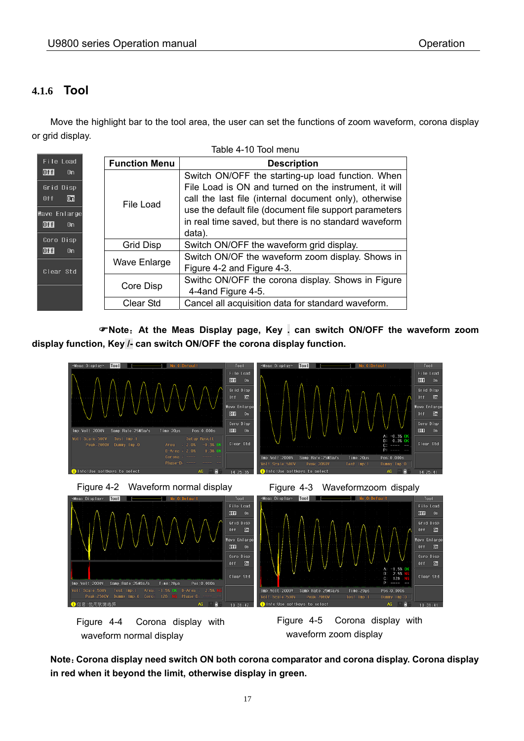#### **4.1.6 Tool**

 Move the highlight bar to the tool area, the user can set the functions of zoom waveform, corona display or grid display.

|                                                                                    | Table 4-10 Tool menu                                            |                                                                                                                                                                                                                                                                                                   |  |  |  |
|------------------------------------------------------------------------------------|-----------------------------------------------------------------|---------------------------------------------------------------------------------------------------------------------------------------------------------------------------------------------------------------------------------------------------------------------------------------------------|--|--|--|
| File Load                                                                          | <b>Function Menu</b>                                            | <b>Description</b>                                                                                                                                                                                                                                                                                |  |  |  |
| Of f <br>0n<br>Grid Disp<br>l0nl<br>0 <sub>f</sub><br>Wave Enlarge<br> Of f <br>0n | File Load                                                       | Switch ON/OFF the starting-up load function. When<br>File Load is ON and turned on the instrument, it will<br>call the last file (internal document only), otherwise<br>use the default file (document file support parameters<br>in real time saved, but there is no standard waveform<br>data). |  |  |  |
| Coro Disp<br>Of fl<br>0n                                                           | <b>Grid Disp</b>                                                | Switch ON/OFF the waveform grid display.                                                                                                                                                                                                                                                          |  |  |  |
| Clear Std                                                                          | <b>Wave Enlarge</b>                                             | Switch ON/OF the waveform zoom display. Shows in<br>Figure 4-2 and Figure 4-3.                                                                                                                                                                                                                    |  |  |  |
|                                                                                    | Core Disp                                                       | Swithc ON/OFF the corona display. Shows in Figure<br>4-4 and Figure 4-5.                                                                                                                                                                                                                          |  |  |  |
|                                                                                    | Cancel all acquisition data for standard waveform.<br>Clear Std |                                                                                                                                                                                                                                                                                                   |  |  |  |

**Note**:**At the Meas Display page, Key . can switch ON/OFF the waveform zoom display function, Key /- can switch ON/OFF the corona display function.**





Time: 20us

Pos

Samp Rate: 25MSa/s

(伸用软键器)



Time: 20us

Clear Std

**Note**:**Corona display need switch ON both corona comparator and corona display. Corona display in red when it beyond the limit, otherwise display in green.** 

Clear Std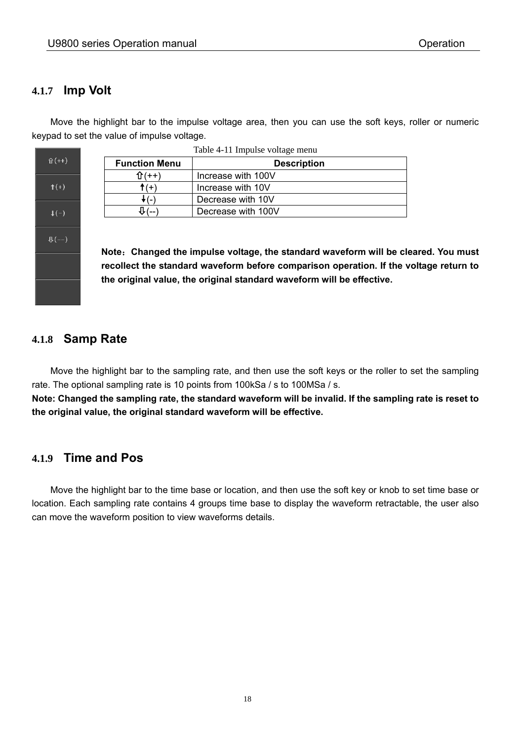#### **4.1.7 Imp Volt**

 Move the highlight bar to the impulse voltage area, then you can use the soft keys, roller or numeric keypad to set the value of impulse voltage.



| Table 4-11 Impulse voltage menu            |                    |  |  |
|--------------------------------------------|--------------------|--|--|
| <b>Function Menu</b><br><b>Description</b> |                    |  |  |
| በ (++)                                     | Increase with 100V |  |  |
| $f(+)$<br>Increase with 10V                |                    |  |  |
| $\sim$                                     | Decrease with 10V  |  |  |
|                                            | Decrease with 100V |  |  |

**Note**:**Changed the impulse voltage, the standard waveform will be cleared. You must recollect the standard waveform before comparison operation. If the voltage return to the original value, the original standard waveform will be effective.** 

#### **4.1.8 Samp Rate**

 Move the highlight bar to the sampling rate, and then use the soft keys or the roller to set the sampling rate. The optional sampling rate is 10 points from 100kSa / s to 100MSa / s.

**Note: Changed the sampling rate, the standard waveform will be invalid. If the sampling rate is reset to the original value, the original standard waveform will be effective.** 

#### **4.1.9 Time and Pos**

 Move the highlight bar to the time base or location, and then use the soft key or knob to set time base or location. Each sampling rate contains 4 groups time base to display the waveform retractable, the user also can move the waveform position to view waveforms details.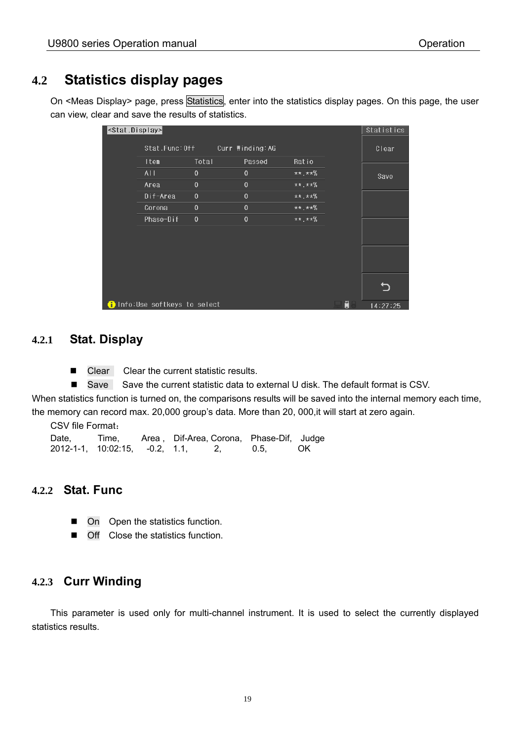### **4.2 Statistics display pages**

On <Meas Display> page, press Statistics, enter into the statistics display pages. On this page, the user can view, clear and save the results of statistics.

| <stat.display></stat.display> |                                      |              |                  |           |   | Statistics |
|-------------------------------|--------------------------------------|--------------|------------------|-----------|---|------------|
|                               | Stat.Func:Off                        |              | Curr Winding: AG |           |   | Clear      |
|                               | Item                                 | Total        | Passed           | Ratio     |   |            |
|                               | AI I                                 | $\theta$     | $\theta$         | $***.**%$ |   | Save       |
|                               | Area                                 | $\theta$     | $\theta$         | $***.**%$ |   |            |
|                               | Dif-Area                             | $\theta$     | $\theta$         | $***.**%$ |   |            |
|                               | Corona                               | $\mathbf{0}$ | $\theta$         | $***.**%$ |   |            |
|                               | Phase-Dif                            | $\theta$     | $\theta$         | $***.**%$ |   |            |
|                               |                                      |              |                  |           |   |            |
|                               |                                      |              |                  |           |   |            |
|                               |                                      |              |                  |           |   |            |
|                               |                                      |              |                  |           |   |            |
|                               |                                      |              |                  |           |   |            |
|                               |                                      |              |                  |           |   |            |
|                               | <b>f</b> Info:Use softkeys to select |              |                  |           | Ū | 14:27:25   |

#### **4.2.1 Stat. Display**

■ Clear Clear the current statistic results.

■ Save Save the current statistic data to external U disk. The default format is CSV.

When statistics function is turned on, the comparisons results will be saved into the internal memory each time, the memory can record max. 20,000 group's data. More than 20, 000,it will start at zero again.

CSV file Format:

Date, Time, Area, Dif-Area, Corona, Phase-Dif, Judge 2012-1-1, 10:02:15, -0.2, 1.1, 2, 0.5, OK

#### **4.2.2 Stat. Func**

- On Open the statistics function.
- Off Close the statistics function.

#### **4.2.3 Curr Winding**

 This parameter is used only for multi-channel instrument. It is used to select the currently displayed statistics results.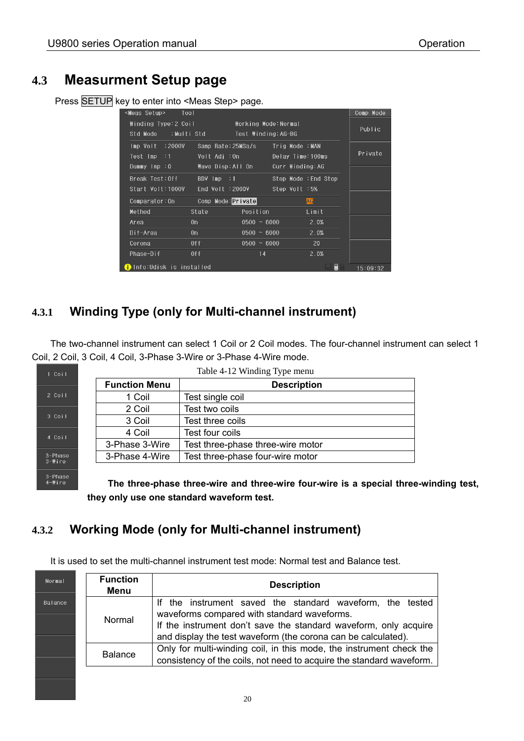### **4.3 Measurment Setup page**

Press SETUP key to enter into <Meas Step> page.

| <meas setup=""><br/>Tool</meas>                                |                                                           |                                              |                     | Comp Mode |
|----------------------------------------------------------------|-----------------------------------------------------------|----------------------------------------------|---------------------|-----------|
| Winding Type:2 Coil<br>Std Mode :Multi Std                     |                                                           | Working Mode:Normal<br>Test Winding:AG-BG    |                     | Public    |
| Imp Volt :2000V<br>Test Imp :1                                 | Samp Rate:25MSa/s<br>Volt Adj :0n                         | Trig Mode :MAN<br>Delay Time: 100ms          |                     | Private   |
| Dummy $\mathsf{Imp} : 0$<br>Break Test:Off<br>Start Volt:1000V | Wave Disp:All On<br>$BDV$ $Imp$ : 1<br>End $Volt = 2000V$ | Curr Winding: AG<br>Step Volt :5%            | Stop Mode :End Stop |           |
| Comparator:0n<br>Method                                        | Comp Mode: Private<br>State                               | Position                                     | <b>AG</b><br>Limit  |           |
| Area<br>Dif-Area                                               | 0n<br>0n                                                  | $0500 ~ \sim ~ 6000$<br>$0500 ~ \sim ~ 6000$ | 2.0%<br>2.0%        |           |
| Corona<br>Phase-Dif                                            | 0 <sup>†</sup><br>0 <sup>0</sup>                          | $0500 \sim 6000$<br>14                       | 20<br>2.0%          |           |
| n Info:Udisk is installed                                      |                                                           |                                              | H                   | 15:09:32  |

### **4.3.1 Winding Type (only for Multi-channel instrument)**

 The two-channel instrument can select 1 Coil or 2 Coil modes. The four-channel instrument can select 1 Coil, 2 Coil, 3 Coil, 4 Coil, 3-Phase 3-Wire or 3-Phase 4-Wire mode.

|        | Table 4-12 Winding Type menu |                                   |  |
|--------|------------------------------|-----------------------------------|--|
|        | <b>Function Menu</b>         | <b>Description</b>                |  |
|        | 1 Coil                       | Test single coil                  |  |
|        | 2 Coil                       | Test two coils                    |  |
| 3 Coil | 3 Coil                       | Test three coils                  |  |
|        | 4 Coil                       | Test four coils                   |  |
|        | 3-Phase 3-Wire               | Test three-phase three-wire motor |  |
|        | 3-Phase 4-Wire               | Test three-phase four-wire motor  |  |
|        |                              |                                   |  |

**The three-phase three-wire and three-wire four-wire is a special three-winding test, they only use one standard waveform test.**

### **4.3.2 Working Mode (only for Multi-channel instrument)**

3-Phase<br>4-₩ire

It is used to set the multi-channel instrument test mode: Normal test and Balance test.

| Normal  | <b>Function</b><br>Menu | <b>Description</b>                                                                                                                          |  |
|---------|-------------------------|---------------------------------------------------------------------------------------------------------------------------------------------|--|
| Balance |                         | If the instrument saved the standard waveform, the tested<br>waveforms compared with standard waveforms.                                    |  |
|         | Normal                  | If the instrument don't save the standard waveform, only acquire<br>and display the test waveform (the corona can be calculated).           |  |
|         | <b>Balance</b>          | Only for multi-winding coil, in this mode, the instrument check the<br>consistency of the coils, not need to acquire the standard waveform. |  |
|         |                         |                                                                                                                                             |  |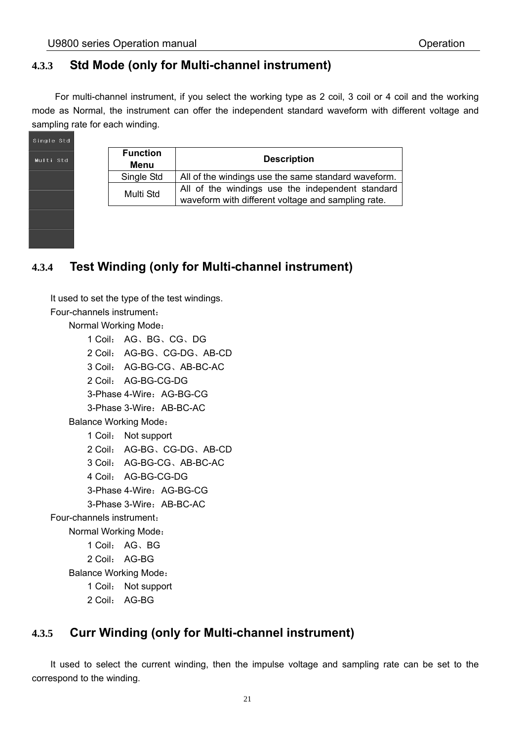#### **4.3.3 Std Mode (only for Multi-channel instrument)**

 For multi-channel instrument, if you select the working type as 2 coil, 3 coil or 4 coil and the working mode as Normal, the instrument can offer the independent standard waveform with different voltage and sampling rate for each winding.

| Single Std |
|------------|
| Multi Std  |
|            |
|            |
|            |
|            |

| <b>Function</b><br>Menu | <b>Description</b>                                                                                     |
|-------------------------|--------------------------------------------------------------------------------------------------------|
| Single Std              | All of the windings use the same standard waveform.                                                    |
| Multi Std               | All of the windings use the independent standard<br>waveform with different voltage and sampling rate. |

### **4.3.4 Test Winding (only for Multi-channel instrument)**

 It used to set the type of the test windings. Four-channels instrument: Normal Working Mode: 1 Coil: AG、BG、CG、DG 2 Coil: AG-BG、CG-DG、AB-CD 3 Coil: AG-BG-CG、AB-BC-AC 2 Coil: AG-BG-CG-DG 3-Phase 4-Wire: AG-BG-CG 3-Phase 3-Wire: AB-BC-AC Balance Working Mode: 1 Coil: Not support 2 Coil: AG-BG、CG-DG、AB-CD 3 Coil: AG-BG-CG、AB-BC-AC 4 Coil: AG-BG-CG-DG 3-Phase 4-Wire: AG-BG-CG 3-Phase 3-Wire: AB-BC-AC Four-channels instrument: Normal Working Mode: 1 Coil: AG、BG 2 Coil: AG-BG Balance Working Mode: 1 Coil: Not support 2 Coil: AG-BG

#### **4.3.5 Curr Winding (only for Multi-channel instrument)**

It used to select the current winding, then the impulse voltage and sampling rate can be set to the correspond to the winding.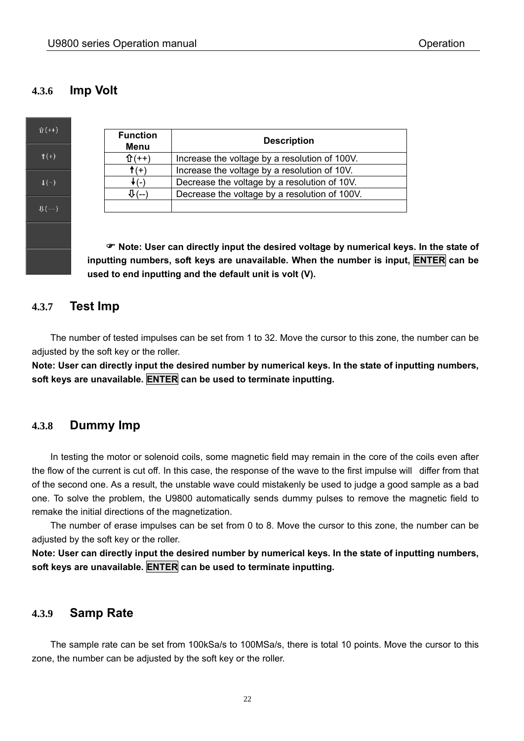#### **4.3.6 Imp Volt**



| <b>Function</b><br>Menu | <b>Description</b>                            |  |
|-------------------------|-----------------------------------------------|--|
|                         | Increase the voltage by a resolution of 100V. |  |
| $f(+)$                  | Increase the voltage by a resolution of 10V.  |  |
|                         | Decrease the voltage by a resolution of 10V.  |  |
|                         | Decrease the voltage by a resolution of 100V. |  |
|                         |                                               |  |

 **Note: User can directly input the desired voltage by numerical keys. In the state of inputting numbers, soft keys are unavailable. When the number is input, ENTER can be used to end inputting and the default unit is volt (V).** 

#### **4.3.7 Test Imp**

 The number of tested impulses can be set from 1 to 32. Move the cursor to this zone, the number can be adjusted by the soft key or the roller.

**Note: User can directly input the desired number by numerical keys. In the state of inputting numbers, soft keys are unavailable. ENTER can be used to terminate inputting.**

#### **4.3.8 Dummy Imp**

 In testing the motor or solenoid coils, some magnetic field may remain in the core of the coils even after the flow of the current is cut off. In this case, the response of the wave to the first impulse will differ from that of the second one. As a result, the unstable wave could mistakenly be used to judge a good sample as a bad one. To solve the problem, the U9800 automatically sends dummy pulses to remove the magnetic field to remake the initial directions of the magnetization.

The number of erase impulses can be set from 0 to 8. Move the cursor to this zone, the number can be adjusted by the soft key or the roller.

**Note: User can directly input the desired number by numerical keys. In the state of inputting numbers, soft keys are unavailable. ENTER can be used to terminate inputting.**

#### **4.3.9 Samp Rate**

 The sample rate can be set from 100kSa/s to 100MSa/s, there is total 10 points. Move the cursor to this zone, the number can be adjusted by the soft key or the roller.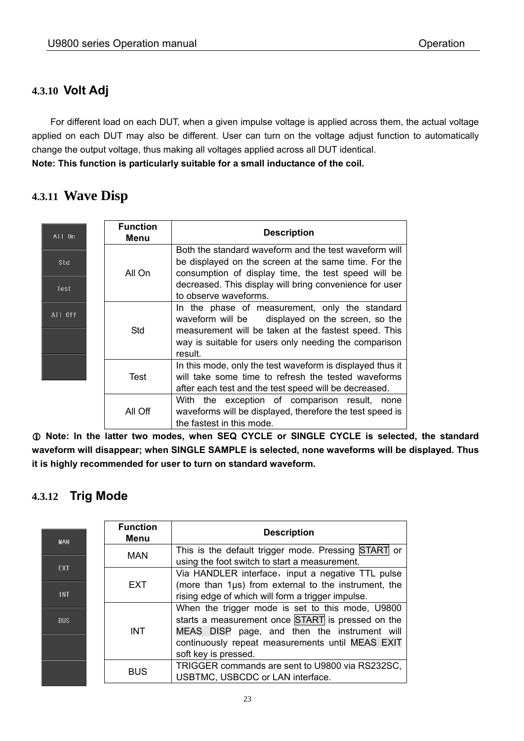#### **4.3.10 Volt Adj**

 For different load on each DUT, when a given impulse voltage is applied across them, the actual voltage applied on each DUT may also be different. User can turn on the voltage adjust function to automatically change the output voltage, thus making all voltages applied across all DUT identical. **Note: This function is particularly suitable for a small inductance of the coil.** 

### **4.3.11 Wave Disp**

| All On      | <b>Function</b><br>Menu | <b>Description</b>                                                                                                                                                                                                                                       |
|-------------|-------------------------|----------------------------------------------------------------------------------------------------------------------------------------------------------------------------------------------------------------------------------------------------------|
| Std<br>Test | All On                  | Both the standard waveform and the test waveform will<br>be displayed on the screen at the same time. For the<br>consumption of display time, the test speed will be<br>decreased. This display will bring convenience for user<br>to observe waveforms. |
| All Off     | <b>Std</b>              | In the phase of measurement, only the standard<br>waveform will be displayed on the screen, so the<br>measurement will be taken at the fastest speed. This<br>way is suitable for users only needing the comparison<br>result.                           |
|             | Test                    | In this mode, only the test waveform is displayed thus it<br>will take some time to refresh the tested waveforms<br>after each test and the test speed will be decreased.                                                                                |
|             | All Off                 | With the exception of comparison result, none<br>waveforms will be displayed, therefore the test speed is<br>the fastest in this mode.                                                                                                                   |

 **Note: In the latter two modes, when SEQ CYCLE or SINGLE CYCLE is selected, the standard waveform will disappear; when SINGLE SAMPLE is selected, none waveforms will be displayed. Thus it is highly recommended for user to turn on standard waveform.** 

#### **4.3.12 Trig Mode**

| <b>MAN</b> | <b>Function</b><br>Menu | <b>Description</b>                                                                                                                                    |
|------------|-------------------------|-------------------------------------------------------------------------------------------------------------------------------------------------------|
|            | <b>MAN</b>              | This is the default trigger mode. Pressing START or<br>using the foot switch to start a measurement.                                                  |
| EXT.       |                         | Via HANDLER interface, input a negative TTL pulse                                                                                                     |
| <b>INT</b> | <b>EXT</b>              | (more than 1µs) from external to the instrument, the<br>rising edge of which will form a trigger impulse.                                             |
| <b>BUS</b> | <b>INT</b>              | When the trigger mode is set to this mode, U9800<br>starts a measurement once START is pressed on the<br>MEAS DISP page, and then the instrument will |
|            |                         | continuously repeat measurements until MEAS EXIT<br>soft key is pressed.                                                                              |
|            | <b>BUS</b>              | TRIGGER commands are sent to U9800 via RS232SC,<br>USBTMC, USBCDC or LAN interface.                                                                   |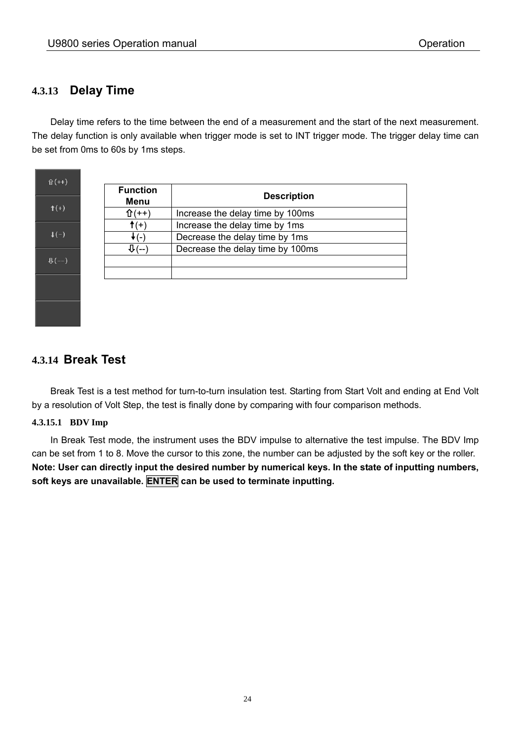#### **4.3.13 Delay Time**

 Delay time refers to the time between the end of a measurement and the start of the next measurement. The delay function is only available when trigger mode is set to INT trigger mode. The trigger delay time can be set from 0ms to 60s by 1ms steps.

 $\hat{U}(++)$  $\hat{\mathsf{T}}(+)$  $\downarrow$  (-)  $\mathbf{\mathbb{Q}}(-)$ 

| <b>Function</b><br>Menu | <b>Description</b>               |  |
|-------------------------|----------------------------------|--|
| $(++)$                  | Increase the delay time by 100ms |  |
| $(+)$                   | Increase the delay time by 1ms   |  |
|                         | Decrease the delay time by 1ms   |  |
|                         | Decrease the delay time by 100ms |  |
|                         |                                  |  |
|                         |                                  |  |

#### **4.3.14 Break Test**

 Break Test is a test method for turn-to-turn insulation test. Starting from Start Volt and ending at End Volt by a resolution of Volt Step, the test is finally done by comparing with four comparison methods.

#### **4.3.15.1 BDV Imp**

 In Break Test mode, the instrument uses the BDV impulse to alternative the test impulse. The BDV Imp can be set from 1 to 8. Move the cursor to this zone, the number can be adjusted by the soft key or the roller. **Note: User can directly input the desired number by numerical keys. In the state of inputting numbers, soft keys are unavailable. ENTER can be used to terminate inputting.**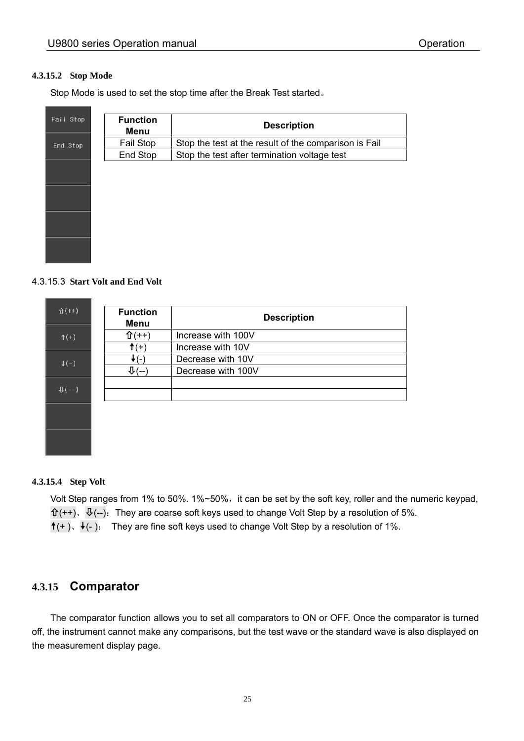#### **4.3.15.2 Stop Mode**

Stop Mode is used to set the stop time after the Break Test started。

| Fail Stop | <b>Function</b><br>Menu | <b>Description</b>                                    |
|-----------|-------------------------|-------------------------------------------------------|
| End Stop  | Fail Stop               | Stop the test at the result of the comparison is Fail |
|           | End Stop                | Stop the test after termination voltage test          |
|           |                         |                                                       |
|           |                         |                                                       |
|           |                         |                                                       |
|           |                         |                                                       |
|           |                         |                                                       |
|           |                         |                                                       |

#### 4.3.15.3 **Start Volt and End Volt**

| $\hat{U}(++)$             | <b>Function</b><br>Menu  | <b>Description</b> |
|---------------------------|--------------------------|--------------------|
| $f(+)$                    | $(++)$                   | Increase with 100V |
|                           | $f(+)$                   | Increase with 10V  |
| $\downarrow$ (-)          | $\overline{\phantom{0}}$ | Decrease with 10V  |
|                           | $\Psi$ (--               | Decrease with 100V |
|                           |                          |                    |
| $\mathbf{\mathbb{U}}(--)$ |                          |                    |
|                           |                          |                    |
|                           |                          |                    |

#### **4.3.15.4 Step Volt**

Volt Step ranges from 1% to 50%. 1%~50%, it can be set by the soft key, roller and the numeric keypad,  $\mathbf{t}(t+), \ \mathbf{t}(-)$ . They are coarse soft keys used to change Volt Step by a resolution of 5%.  $(t+),$   $(t-).$  They are fine soft keys used to change Volt Step by a resolution of 1%.

#### **4.3.15 Comparator**

 The comparator function allows you to set all comparators to ON or OFF. Once the comparator is turned off, the instrument cannot make any comparisons, but the test wave or the standard wave is also displayed on the measurement display page.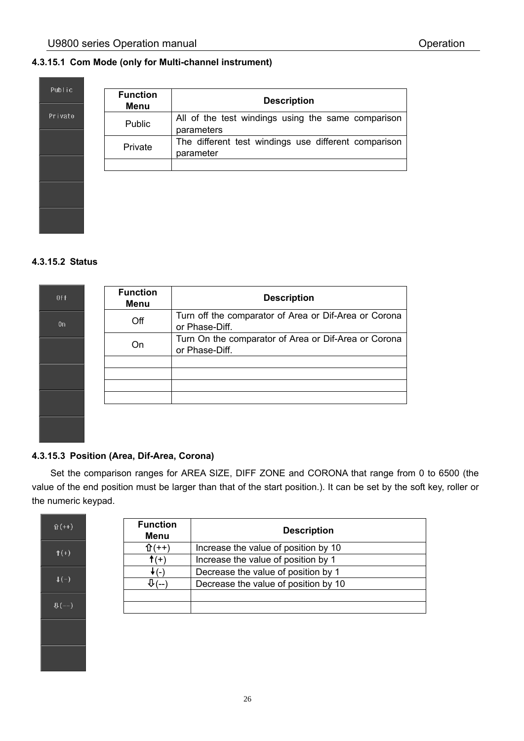#### **4.3.15.1 Com Mode (only for Multi-channel instrument)**

| Public  |
|---------|
| Private |
|         |
|         |
|         |
|         |

| <b>Function</b><br>Menu | <b>Description</b>                                                |
|-------------------------|-------------------------------------------------------------------|
| <b>Public</b>           | All of the test windings using the same comparison<br>parameters  |
| Private                 | The different test windings use different comparison<br>parameter |
|                         |                                                                   |

#### **4.3.15.2 Status**

| 0ff | <b>Function</b><br>Menu | <b>Description</b>                                                      |
|-----|-------------------------|-------------------------------------------------------------------------|
| 0n  | Off                     | Turn off the comparator of Area or Dif-Area or Corona<br>or Phase-Diff. |
|     | On                      | Turn On the comparator of Area or Dif-Area or Corona<br>or Phase-Diff.  |
|     |                         |                                                                         |
|     |                         |                                                                         |

#### **4.3.15.3 Position (Area, Dif-Area, Corona)**

 Set the comparison ranges for AREA SIZE, DIFF ZONE and CORONA that range from 0 to 6500 (the value of the end position must be larger than that of the start position.). It can be set by the soft key, roller or the numeric keypad.

| $\hat{U}(++)$                  |
|--------------------------------|
| $f(+)$                         |
| $\overline{\downarrow}$ (-)    |
| $\mathbf{\Psi}\left( -\right)$ |
|                                |
|                                |

| <b>Function</b><br><b>Menu</b> | <b>Description</b>                   |
|--------------------------------|--------------------------------------|
| $\hat{U}(++)$                  | Increase the value of position by 10 |
| $f(+)$                         | Increase the value of position by 1  |
| 7 ( – 1                        | Decrease the value of position by 1  |
|                                | Decrease the value of position by 10 |
|                                |                                      |
|                                |                                      |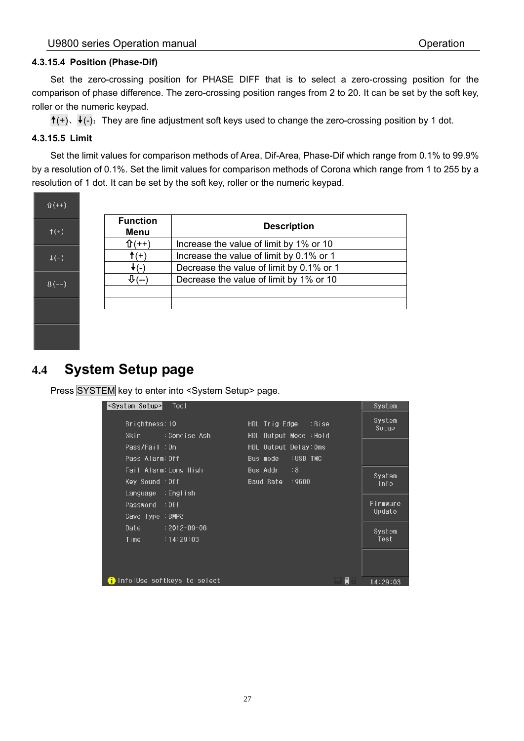#### **4.3.15.4 Position (Phase-Dif)**

 Set the zero-crossing position for PHASE DIFF that is to select a zero-crossing position for the comparison of phase difference. The zero-crossing position ranges from 2 to 20. It can be set by the soft key, roller or the numeric keypad.

 $(t)$ ,  $(t)$ : They are fine adjustment soft keys used to change the zero-crossing position by 1 dot.

#### **4.3.15.5 Limit**

 Set the limit values for comparison methods of Area, Dif-Area, Phase-Dif which range from 0.1% to 99.9% by a resolution of 0.1%. Set the limit values for comparison methods of Corona which range from 1 to 255 by a resolution of 1 dot. It can be set by the soft key, roller or the numeric keypad.



| <b>Function</b><br>Menu | <b>Description</b>                       |
|-------------------------|------------------------------------------|
| 仆(++)                   | Increase the value of limit by 1% or 10  |
| $f(+)$                  | Increase the value of limit by 0.1% or 1 |
| (−)                     | Decrease the value of limit by 0.1% or 1 |
|                         | Decrease the value of limit by 1% or 10  |
|                         |                                          |
|                         |                                          |

### **4.4 System Setup page**

Press SYSTEM key to enter into <System Setup> page.

| <system setup=""><br/>Tool</system>                 |                                                   | System             |
|-----------------------------------------------------|---------------------------------------------------|--------------------|
| Brightness:10<br>:Concise Ash<br>Skin               | $HDL$ Trig Edge : Rise<br>HDL Output Mode : Hold  | System<br>Setup    |
| Pass/Fail:0n<br>Pass Alarm: Off                     | HDL Output Delay: Oms<br>:USB TMC<br>Bus mode     |                    |
| Fail Alarm:Long High<br>Key Sound : Off<br>:English | $\therefore$ 8<br>Bus Addr<br>Baud Rate<br>: 9600 | System<br>Info     |
| Language<br>Password : Off<br>Save Type : BMP8      |                                                   | Firmware<br>Update |
| Date<br>$: 2012 - 09 - 06$<br>Time<br>:14:29:03     |                                                   | System<br>Test     |
|                                                     |                                                   |                    |
| i)Info:Use softkeys to select                       | Ū                                                 | 14:29:03           |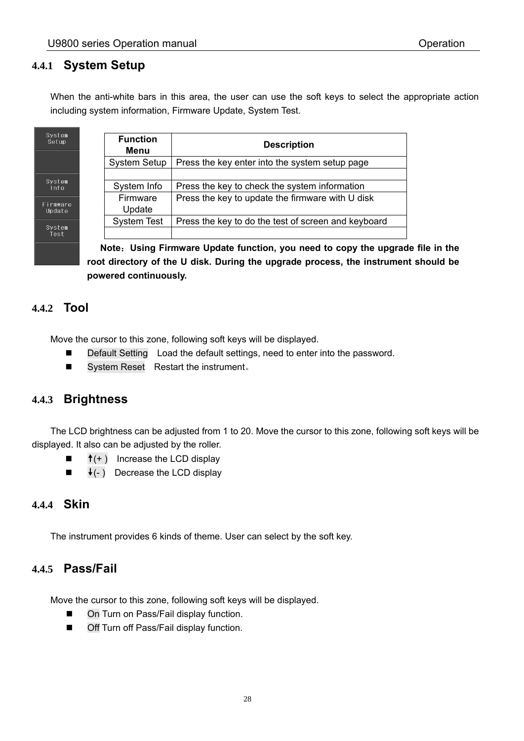#### **4.4.1 System Setup**

When the anti-white bars in this area, the user can use the soft keys to select the appropriate action including system information, Firmware Update, System Test.

| stem<br>tup!  | <b>Function</b><br>Menu | <b>Description</b>                                  |
|---------------|-------------------------|-----------------------------------------------------|
|               | <b>System Setup</b>     | Press the key enter into the system setup page      |
| stem          | System Info             | Press the key to check the system information       |
| mware<br>date | Firmware<br>Update      | Press the key to update the firmware with U disk    |
| stem          | <b>System Test</b>      | Press the key to do the test of screen and keyboard |
| est           |                         |                                                     |

**Note**:**Using Firmware Update function, you need to copy the upgrade file in the root directory of the U disk. During the upgrade process, the instrument should be powered continuously.** 

#### **4.4.2 Tool**

 $\frac{sy}{s}$ 

 $\frac{S}{1}$ 

 $F_{\text{tr}}$ 

\$y

Move the cursor to this zone, following soft keys will be displayed.

- Default Setting Load the default settings, need to enter into the password.
- System Reset Restart the instrument.

#### **4.4.3 Brightness**

 The LCD brightness can be adjusted from 1 to 20. Move the cursor to this zone, following soft keys will be displayed. It also can be adjusted by the roller.

- $\blacksquare$   $\uparrow$  (+) Increase the LCD display
- $\blacksquare$   $\blacklozenge$  (-) Decrease the LCD display

#### **4.4.4 Skin**

The instrument provides 6 kinds of theme. User can select by the soft key.

#### **4.4.5 Pass/Fail**

Move the cursor to this zone, following soft keys will be displayed.

- On Turn on Pass/Fail display function.
- Off Turn off Pass/Fail display function.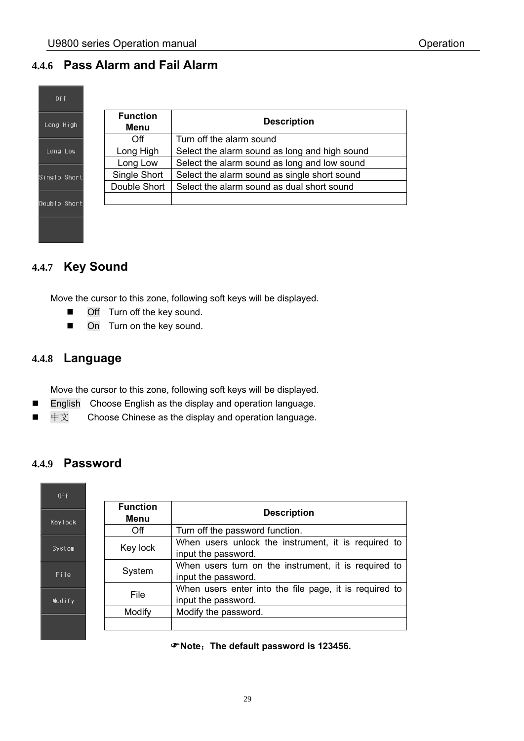#### **4.4.6 Pass Alarm and Fail Alarm**

| <b>Function</b><br>Long High<br>Menu | <b>Description</b>                            |
|--------------------------------------|-----------------------------------------------|
| Off                                  | Turn off the alarm sound                      |
| Long High                            | Select the alarm sound as long and high sound |
| Long Low                             | Select the alarm sound as long and low sound  |
| Single Short                         | Select the alarm sound as single short sound  |
| Double Short                         | Select the alarm sound as dual short sound    |
|                                      |                                               |

#### **4.4.7 Key Sound**

Move the cursor to this zone, following soft keys will be displayed.

- **Off** Turn off the key sound.
- On Turn on the key sound.

#### **4.4.8 Language**

Move the cursor to this zone, following soft keys will be displayed.

- **English** Choose English as the display and operation language.
- 中文 Choose Chinese as the display and operation language.

#### **4.4.9 Password**

| 0 <sup>f</sup> |                         |                                                                               |  |  |
|----------------|-------------------------|-------------------------------------------------------------------------------|--|--|
| <b>Keylock</b> | <b>Function</b><br>Menu | <b>Description</b>                                                            |  |  |
|                | Off                     | Turn off the password function.                                               |  |  |
| System         | Key lock                | When users unlock the instrument, it is required to<br>input the password.    |  |  |
| File           | System                  | When users turn on the instrument, it is required to<br>input the password.   |  |  |
| Modify         | File                    | When users enter into the file page, it is required to<br>input the password. |  |  |
|                | Modify                  | Modify the password.                                                          |  |  |
|                |                         |                                                                               |  |  |

**Note**:**The default password is 123456.**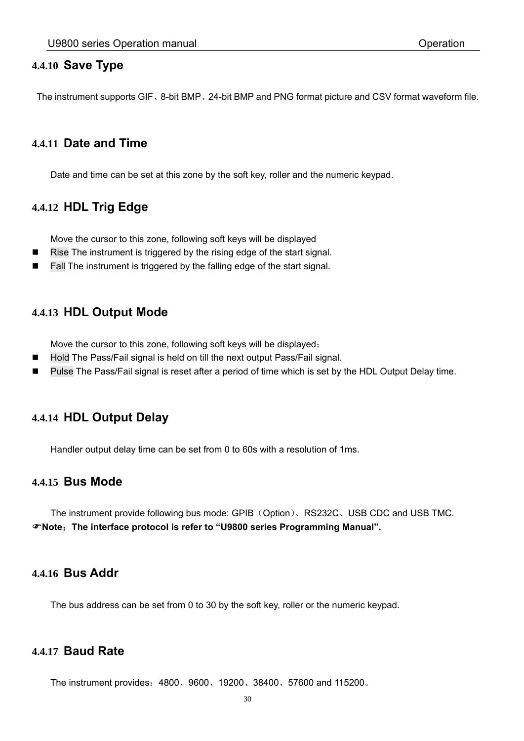#### **4.4.10 Save Type**

The instrument supports GIF、8-bit BMP、24-bit BMP and PNG format picture and CSV format waveform file.

#### **4.4.11 Date and Time**

Date and time can be set at this zone by the soft key, roller and the numeric keypad.

#### **4.4.12 HDL Trig Edge**

Move the cursor to this zone, following soft keys will be displayed

- Rise The instrument is triggered by the rising edge of the start signal.
- Fall The instrument is triggered by the falling edge of the start signal.

#### **4.4.13 HDL Output Mode**

Move the cursor to this zone, following soft keys will be displayed:

- Hold The Pass/Fail signal is held on till the next output Pass/Fail signal.
- Pulse The Pass/Fail signal is reset after a period of time which is set by the HDL Output Delay time.

#### **4.4.14 HDL Output Delay**

Handler output delay time can be set from 0 to 60s with a resolution of 1ms.

#### **4.4.15 Bus Mode**

The instrument provide following bus mode: GPIB (Option)、RS232C、USB CDC and USB TMC. **Note**:**The interface protocol is refer to "U9800 series Programming Manual".** 

#### **4.4.16 Bus Addr**

The bus address can be set from 0 to 30 by the soft key, roller or the numeric keypad.

#### **4.4.17 Baud Rate**

The instrument provides:4800、9600、19200、38400、57600 and 115200。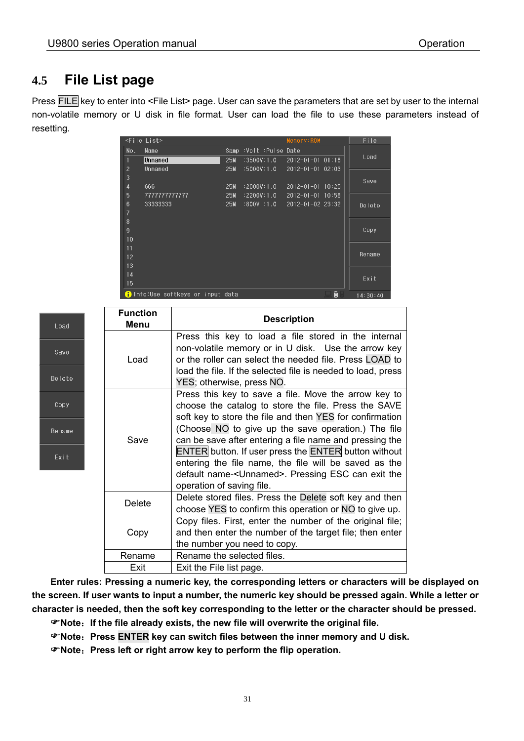### **4.5 File List page**

Press FILE key to enter into <File List> page. User can save the parameters that are set by user to the internal non-volatile memory or U disk in file format. User can load the file to use these parameters instead of resetting.

|                | <file list=""></file>             |      |                               | Memory:ROM               |   | File     |
|----------------|-----------------------------------|------|-------------------------------|--------------------------|---|----------|
| No.            | Name                              |      | :Samp :Volt :Pulse Date       |                          |   |          |
|                | Unnamed                           | :25M | $:3500V:1.0$ 2012-01-01 01:18 |                          |   | Load     |
| $\overline{c}$ | Unnamed                           | :25M | $:5000V:1.0$ 2012-01-01 02:03 |                          |   |          |
| 3              |                                   |      |                               |                          |   | Save     |
| $\overline{4}$ | 666                               | :25M | :2000V:1.0                    | $2012 - 01 - 01$ 10:25   |   |          |
| 5              | 777777777777                      | :25M | :2200V:1.0                    | $2012 - 01 - 01$ 10:58   |   |          |
| 6              | 33333333                          | :25M | $:800$ V $:1.0$               | $2012 - 01 - 02$ $23:32$ |   | Delete   |
| 7              |                                   |      |                               |                          |   |          |
| $\delta$       |                                   |      |                               |                          |   |          |
| $\overline{9}$ |                                   |      |                               |                          |   | Copy     |
| 10             |                                   |      |                               |                          |   |          |
| 11             |                                   |      |                               |                          |   |          |
| 12             |                                   |      |                               |                          |   | Rename   |
| 13             |                                   |      |                               |                          |   |          |
| 14             |                                   |      |                               |                          |   | Exit     |
| 15             |                                   |      |                               |                          |   |          |
|                | i Info:Use softkeys or input data |      |                               |                          | g | 14:30:40 |

| Load   | <b>Function</b><br>Menu | <b>Description</b>                                                                                                                                                                                                        |  |  |
|--------|-------------------------|---------------------------------------------------------------------------------------------------------------------------------------------------------------------------------------------------------------------------|--|--|
| Save   | Load                    | Press this key to load a file stored in the internal<br>non-volatile memory or in U disk. Use the arrow key<br>or the roller can select the needed file. Press LOAD to                                                    |  |  |
| Delete |                         | load the file. If the selected file is needed to load, press<br>YES; otherwise, press NO.                                                                                                                                 |  |  |
| Copy   |                         | Press this key to save a file. Move the arrow key to<br>choose the catalog to store the file. Press the SAVE<br>soft key to store the file and then YES for confirmation                                                  |  |  |
| Rename | Save                    | (Choose NO to give up the save operation.) The file<br>can be save after entering a file name and pressing the                                                                                                            |  |  |
| Exit   |                         | <b>ENTER</b> button. If user press the <b>ENTER</b> button without<br>entering the file name, the file will be saved as the<br>default name- <unnamed>. Pressing ESC can exit the<br/>operation of saving file.</unnamed> |  |  |
|        | <b>Delete</b>           | Delete stored files. Press the Delete soft key and then<br>choose YES to confirm this operation or NO to give up.                                                                                                         |  |  |
|        | Copy                    | Copy files. First, enter the number of the original file;<br>and then enter the number of the target file; then enter<br>the number you need to copy.                                                                     |  |  |
|        | Rename                  | Rename the selected files.                                                                                                                                                                                                |  |  |
|        | Exit                    | Exit the File list page.                                                                                                                                                                                                  |  |  |

**Enter rules: Pressing a numeric key, the corresponding letters or characters will be displayed on the screen. If user wants to input a number, the numeric key should be pressed again. While a letter or character is needed, then the soft key corresponding to the letter or the character should be pressed.**

**Note**:**If the file already exists, the new file will overwrite the original file.** 

**Note**:**Press ENTER key can switch files between the inner memory and U disk.** 

**Note**:**Press left or right arrow key to perform the flip operation.**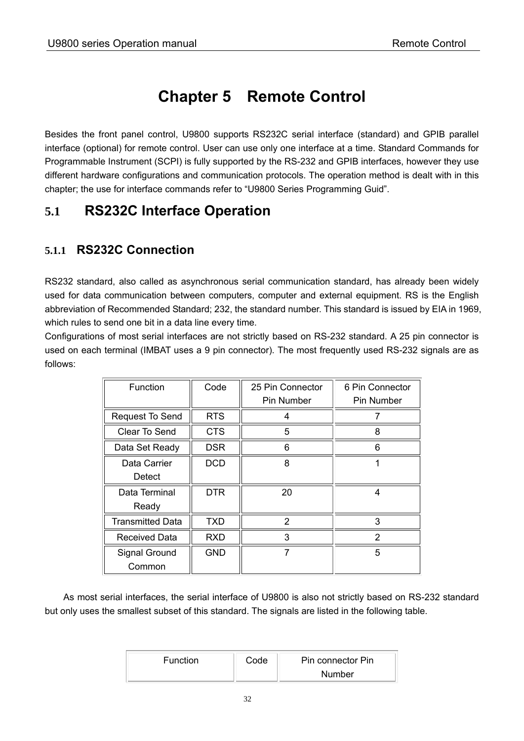### **Chapter 5 Remote Control**

Besides the front panel control, U9800 supports RS232C serial interface (standard) and GPIB parallel interface (optional) for remote control. User can use only one interface at a time. Standard Commands for Programmable Instrument (SCPI) is fully supported by the RS-232 and GPIB interfaces, however they use different hardware configurations and communication protocols. The operation method is dealt with in this chapter; the use for interface commands refer to "U9800 Series Programming Guid".

### **5.1 RS232C Interface Operation**

#### **5.1.1 RS232C Connection**

RS232 standard, also called as asynchronous serial communication standard, has already been widely used for data communication between computers, computer and external equipment. RS is the English abbreviation of Recommended Standard; 232, the standard number. This standard is issued by EIA in 1969, which rules to send one bit in a data line every time.

Configurations of most serial interfaces are not strictly based on RS-232 standard. A 25 pin connector is used on each terminal (IMBAT uses a 9 pin connector). The most frequently used RS-232 signals are as follows:

| Function                | Code       | 25 Pin Connector | 6 Pin Connector |
|-------------------------|------------|------------------|-----------------|
|                         |            | Pin Number       | Pin Number      |
| <b>Request To Send</b>  | <b>RTS</b> | 4                | 7               |
| Clear To Send           | <b>CTS</b> | 5                | 8               |
| Data Set Ready          | <b>DSR</b> | 6                | 6               |
| Data Carrier            | <b>DCD</b> | 8                |                 |
| Detect                  |            |                  |                 |
| Data Terminal           | <b>DTR</b> | 20               | 4               |
| Ready                   |            |                  |                 |
| <b>Transmitted Data</b> | <b>TXD</b> | $\mathcal{P}$    | 3               |
| Received Data           | <b>RXD</b> | 3                | $\mathcal{P}$   |
| Signal Ground           | <b>GND</b> |                  | 5               |
| Common                  |            |                  |                 |

As most serial interfaces, the serial interface of U9800 is also not strictly based on RS-232 standard but only uses the smallest subset of this standard. The signals are listed in the following table.

| <b>Function</b> | Code | Pin connector Pin |
|-----------------|------|-------------------|
|                 |      | Number            |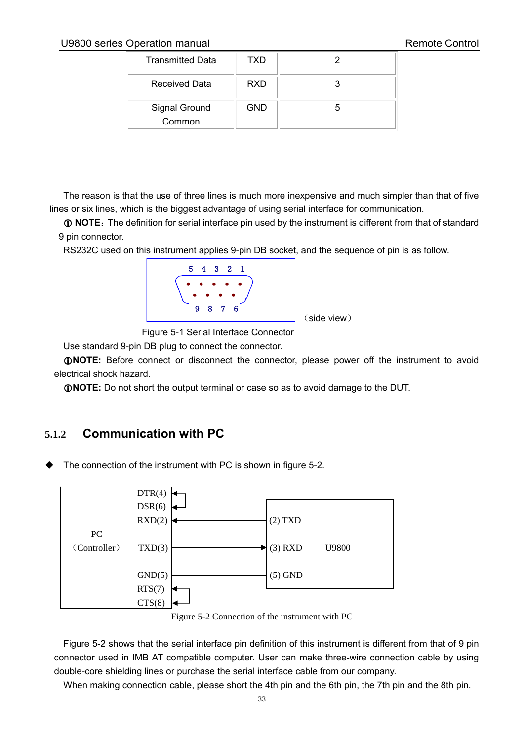#### U9800 series Operation manual and the control Remote Control

| <b>Transmitted Data</b> | TXD        |  |
|-------------------------|------------|--|
| <b>Received Data</b>    | <b>RXD</b> |  |
| Signal Ground<br>Common | <b>GND</b> |  |

The reason is that the use of three lines is much more inexpensive and much simpler than that of five lines or six lines, which is the biggest advantage of using serial interface for communication.

 $\odot$  **NOTE**: The definition for serial interface pin used by the instrument is different from that of standard 9 pin connector.

RS232C used on this instrument applies 9-pin DB socket, and the sequence of pin is as follow.



Figure 5-1 Serial Interface Connector

Use standard 9-pin DB plug to connect the connector.

**NOTE:** Before connect or disconnect the connector, please power off the instrument to avoid electrical shock hazard.

**NOTE:** Do not short the output terminal or case so as to avoid damage to the DUT.

#### **5.1.2 Communication with PC**

The connection of the instrument with PC is shown in figure 5-2.



Figure 5-2 Connection of the instrument with PC

Figure 5-2 shows that the serial interface pin definition of this instrument is different from that of 9 pin connector used in IMB AT compatible computer. User can make three-wire connection cable by using double-core shielding lines or purchase the serial interface cable from our company.

When making connection cable, please short the 4th pin and the 6th pin, the 7th pin and the 8th pin.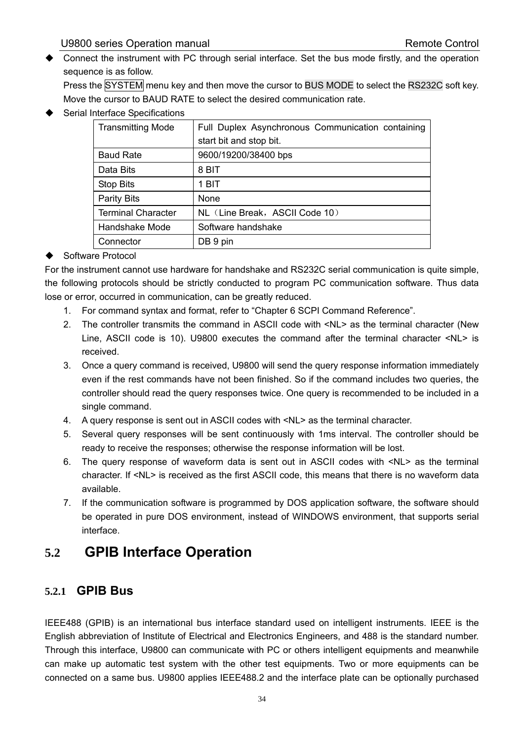Connect the instrument with PC through serial interface. Set the bus mode firstly, and the operation sequence is as follow.

Press the SYSTEM menu key and then move the cursor to BUS MODE to select the RS232C soft key. Move the cursor to BAUD RATE to select the desired communication rate.

Serial Interface Specifications

| <b>Transmitting Mode</b>  | Full Duplex Asynchronous Communication containing |
|---------------------------|---------------------------------------------------|
|                           | start bit and stop bit.                           |
| <b>Baud Rate</b>          | 9600/19200/38400 bps                              |
| Data Bits                 | 8 BIT                                             |
| Stop Bits                 | 1 BIT                                             |
| <b>Parity Bits</b>        | None                                              |
| <b>Terminal Character</b> | NL (Line Break, ASCII Code 10)                    |
| Handshake Mode            | Software handshake                                |
| Connector                 | DB 9 pin                                          |

#### ◆ Software Protocol

For the instrument cannot use hardware for handshake and RS232C serial communication is quite simple, the following protocols should be strictly conducted to program PC communication software. Thus data lose or error, occurred in communication, can be greatly reduced.

- 1. For command syntax and format, refer to "Chapter 6 SCPI Command Reference".
- 2. The controller transmits the command in ASCII code with <NL> as the terminal character (New Line, ASCII code is 10). U9800 executes the command after the terminal character <NL> is received.
- 3. Once a query command is received, U9800 will send the query response information immediately even if the rest commands have not been finished. So if the command includes two queries, the controller should read the query responses twice. One query is recommended to be included in a single command.
- 4. A query response is sent out in ASCII codes with <NL> as the terminal character.
- 5. Several query responses will be sent continuously with 1ms interval. The controller should be ready to receive the responses; otherwise the response information will be lost.
- 6. The query response of waveform data is sent out in ASCII codes with <NL> as the terminal character. If <NL> is received as the first ASCII code, this means that there is no waveform data available.
- 7. If the communication software is programmed by DOS application software, the software should be operated in pure DOS environment, instead of WINDOWS environment, that supports serial interface.

### **5.2 GPIB Interface Operation**

#### **5.2.1 GPIB Bus**

IEEE488 (GPIB) is an international bus interface standard used on intelligent instruments. IEEE is the English abbreviation of Institute of Electrical and Electronics Engineers, and 488 is the standard number. Through this interface, U9800 can communicate with PC or others intelligent equipments and meanwhile can make up automatic test system with the other test equipments. Two or more equipments can be connected on a same bus. U9800 applies IEEE488.2 and the interface plate can be optionally purchased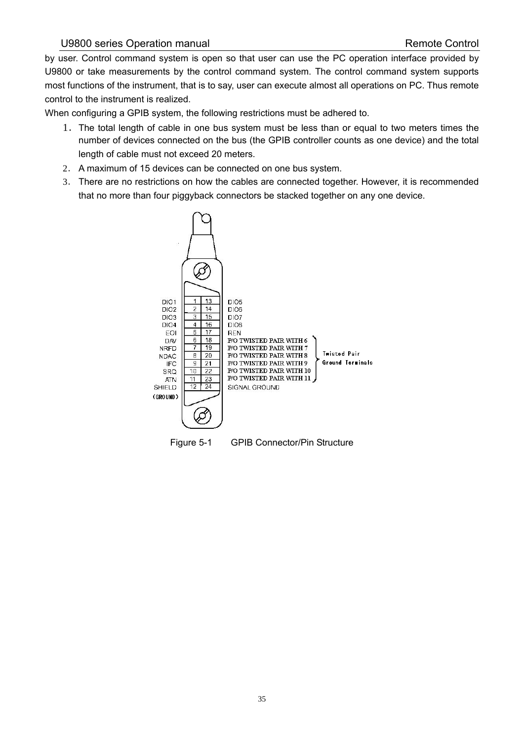#### U9800 series Operation manual and a series operation manual Remote Control

by user. Control command system is open so that user can use the PC operation interface provided by U9800 or take measurements by the control command system. The control command system supports most functions of the instrument, that is to say, user can execute almost all operations on PC. Thus remote control to the instrument is realized.

When configuring a GPIB system, the following restrictions must be adhered to.

- 1.The total length of cable in one bus system must be less than or equal to two meters times the number of devices connected on the bus (the GPIB controller counts as one device) and the total length of cable must not exceed 20 meters.
- 2. A maximum of 15 devices can be connected on one bus system.
- 3. There are no restrictions on how the cables are connected together. However, it is recommended that no more than four piggyback connectors be stacked together on any one device.

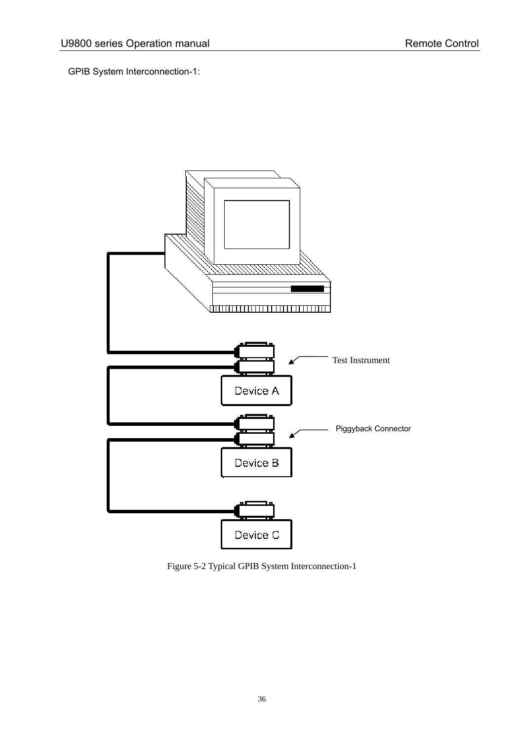GPIB System Interconnection-1:



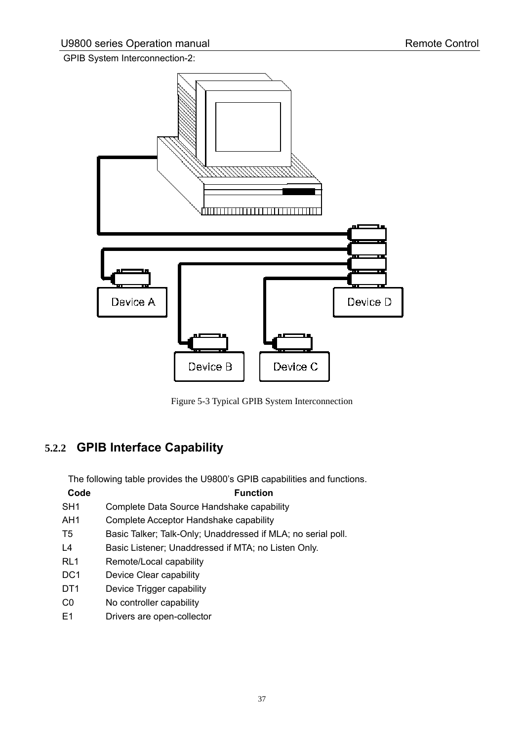GPIB System Interconnection-2:



Figure 5-3 Typical GPIB System Interconnection

### **5.2.2 GPIB Interface Capability**

The following table provides the U9800's GPIB capabilities and functions.

|                 | The following table provides the O3000 3 OF ID capabilities and functi |
|-----------------|------------------------------------------------------------------------|
| Code            | <b>Function</b>                                                        |
| SH <sub>1</sub> | Complete Data Source Handshake capability                              |
| AH1             | Complete Acceptor Handshake capability                                 |
| T5              | Basic Talker; Talk-Only; Unaddressed if MLA; no serial poll.           |
| L <sub>4</sub>  | Basic Listener; Unaddressed if MTA; no Listen Only.                    |
| RL <sub>1</sub> | Remote/Local capability                                                |
| DC <sub>1</sub> | Device Clear capability                                                |
| DT <sub>1</sub> | Device Trigger capability                                              |
| C <sub>0</sub>  | No controller capability                                               |
| E1              | Drivers are open-collector                                             |
|                 |                                                                        |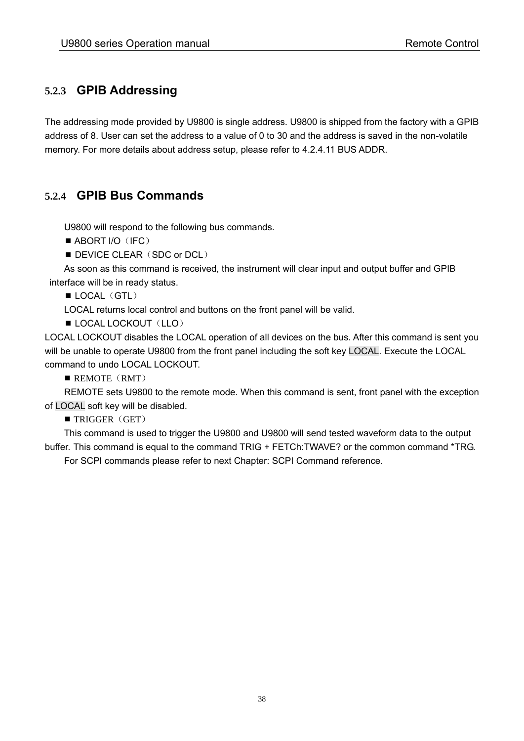#### **5.2.3 GPIB Addressing**

The addressing mode provided by U9800 is single address. U9800 is shipped from the factory with a GPIB address of 8. User can set the address to a value of 0 to 30 and the address is saved in the non-volatile memory. For more details about address setup, please refer to 4.2.4.11 BUS ADDR.

#### **5.2.4 GPIB Bus Commands**

U9800 will respond to the following bus commands.

- $\blacksquare$  ABORT I/O (IFC)
- **DEVICE CLEAR (SDC or DCL)**

As soon as this command is received, the instrument will clear input and output buffer and GPIB interface will be in ready status.

 $\blacksquare$  LOCAL (GTL)

LOCAL returns local control and buttons on the front panel will be valid.

LOCAL LOCKOUT (LLO)

LOCAL LOCKOUT disables the LOCAL operation of all devices on the bus. After this command is sent you will be unable to operate U9800 from the front panel including the soft key LOCAL. Execute the LOCAL command to undo LOCAL LOCKOUT.

 $\blacksquare$  REMOTE (RMT)

REMOTE sets U9800 to the remote mode. When this command is sent, front panel with the exception of LOCAL soft key will be disabled.

 $\blacksquare$  TRIGGER (GET)

This command is used to trigger the U9800 and U9800 will send tested waveform data to the output buffer. This command is equal to the command TRIG + FETCh:TWAVE? or the common command \*TRG.

For SCPI commands please refer to next Chapter: SCPI Command reference.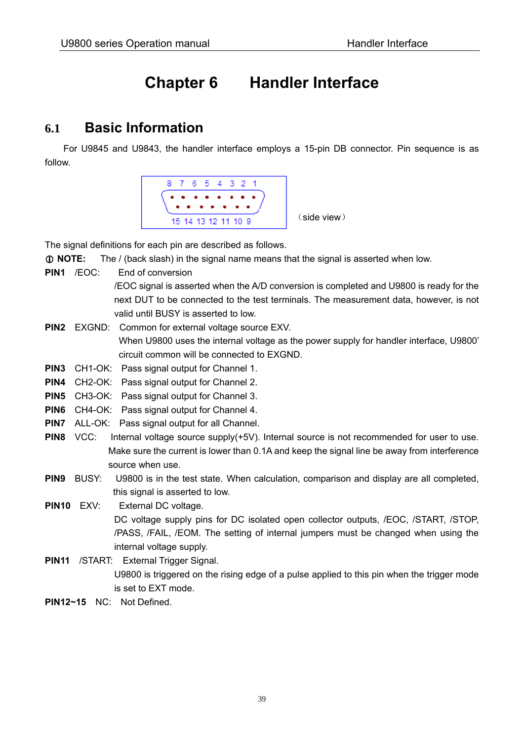## **Chapter 6 Handler Interface**

### **6.1 Basic Information**

For U9845 and U9843, the handler interface employs a 15-pin DB connector. Pin sequence is as follow.



The signal definitions for each pin are described as follows.

- **NOTE:** The / (back slash) in the signal name means that the signal is asserted when low.
- **PIN1** /EOC: End of conversion

 /EOC signal is asserted when the A/D conversion is completed and U9800 is ready for the next DUT to be connected to the test terminals. The measurement data, however, is not valid until BUSY is asserted to low.

- **PIN2** EXGND: Common for external voltage source EXV. When U9800 uses the internal voltage as the power supply for handler interface, U9800' circuit common will be connected to EXGND.
- **PIN3** CH1-OK: Pass signal output for Channel 1.
- **PIN4** CH2-OK: Pass signal output for Channel 2.
- **PIN5** CH3-OK: Pass signal output for Channel 3.
- **PIN6** CH4-OK: Pass signal output for Channel 4.
- **PIN7** ALL-OK: Pass signal output for all Channel.
- **PIN8** VCC: Internal voltage source supply(+5V). Internal source is not recommended for user to use. Make sure the current is lower than 0.1A and keep the signal line be away from interference source when use.
- **PIN9** BUSY: U9800 is in the test state. When calculation, comparison and display are all completed, this signal is asserted to low.

**PIN10** EXV: External DC voltage. DC voltage supply pins for DC isolated open collector outputs, /EOC, /START, /STOP, /PASS, /FAIL, /EOM. The setting of internal jumpers must be changed when using the internal voltage supply.

- **PIN11** /START: External Trigger Signal. U9800 is triggered on the rising edge of a pulse applied to this pin when the trigger mode is set to EXT mode.
- **PIN12~15** NC: Not Defined.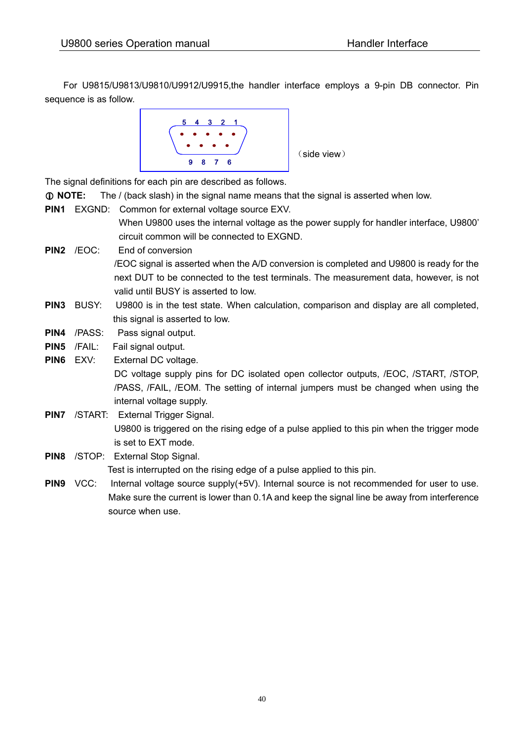For U9815/U9813/U9810/U9912/U9915,the handler interface employs a 9-pin DB connector. Pin sequence is as follow.



The signal definitions for each pin are described as follows.

- **NOTE:** The / (back slash) in the signal name means that the signal is asserted when low.
- **PIN1** EXGND: Common for external voltage source EXV.

valid until BUSY is asserted to low.

When U9800 uses the internal voltage as the power supply for handler interface, U9800' circuit common will be connected to EXGND.

- **PIN2** /EOC: End of conversion /EOC signal is asserted when the A/D conversion is completed and U9800 is ready for the next DUT to be connected to the test terminals. The measurement data, however, is not
- **PIN3** BUSY: U9800 is in the test state. When calculation, comparison and display are all completed, this signal is asserted to low.
- **PIN4** /PASS: Pass signal output.
- PIN5 /FAIL: Fail signal output.
- **PIN6** EXV: External DC voltage. DC voltage supply pins for DC isolated open collector outputs, /EOC, /START, /STOP, /PASS, /FAIL, /EOM. The setting of internal jumpers must be changed when using the internal voltage supply.
- **PIN7** /START: External Trigger Signal. U9800 is triggered on the rising edge of a pulse applied to this pin when the trigger mode is set to EXT mode.
- **PIN8** /STOP: External Stop Signal. Test is interrupted on the rising edge of a pulse applied to this pin.
- **PIN9** VCC: Internal voltage source supply(+5V). Internal source is not recommended for user to use. Make sure the current is lower than 0.1A and keep the signal line be away from interference source when use.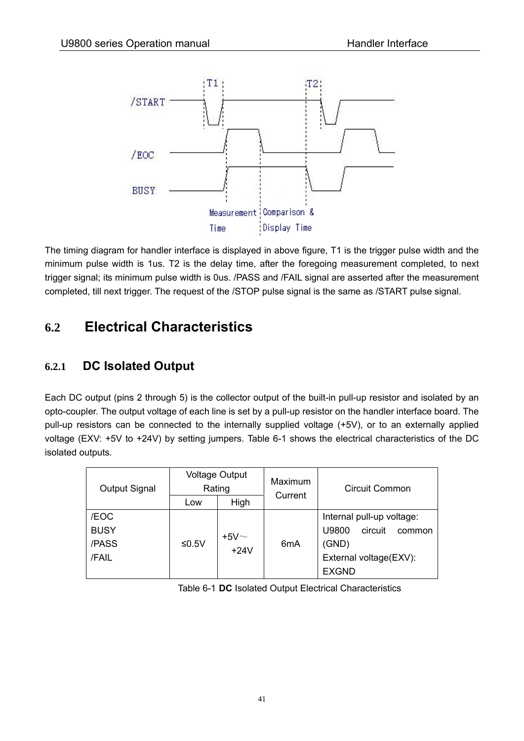

The timing diagram for handler interface is displayed in above figure, T1 is the trigger pulse width and the minimum pulse width is 1us. T2 is the delay time, after the foregoing measurement completed, to next trigger signal; its minimum pulse width is 0us. /PASS and /FAIL signal are asserted after the measurement completed, till next trigger. The request of the /STOP pulse signal is the same as /START pulse signal.

### **6.2 Electrical Characteristics**

#### **6.2.1 DC Isolated Output**

Each DC output (pins 2 through 5) is the collector output of the built-in pull-up resistor and isolated by an opto-coupler. The output voltage of each line is set by a pull-up resistor on the handler interface board. The pull-up resistors can be connected to the internally supplied voltage (+5V), or to an externally applied voltage (EXV: +5V to +24V) by setting jumpers. Table 6-1 shows the electrical characteristics of the DC isolated outputs.

| <b>Output Signal</b> | <b>Voltage Output</b><br>Rating |            | Maximum          | Circuit Common             |  |
|----------------------|---------------------------------|------------|------------------|----------------------------|--|
|                      | Low                             | High       | Current          |                            |  |
| /EOC                 |                                 |            |                  | Internal pull-up voltage:  |  |
| <b>BUSY</b>          |                                 | +5 $V\sim$ |                  | circuit<br>U9800<br>common |  |
| /PASS                | $≤0.5V$                         |            | 6 <sub>m</sub> A | (GND)                      |  |
| /FAIL                |                                 | $+24V$     |                  | External voltage(EXV):     |  |
|                      |                                 |            |                  | <b>EXGND</b>               |  |

Table 6-1 **DC** Isolated Output Electrical Characteristics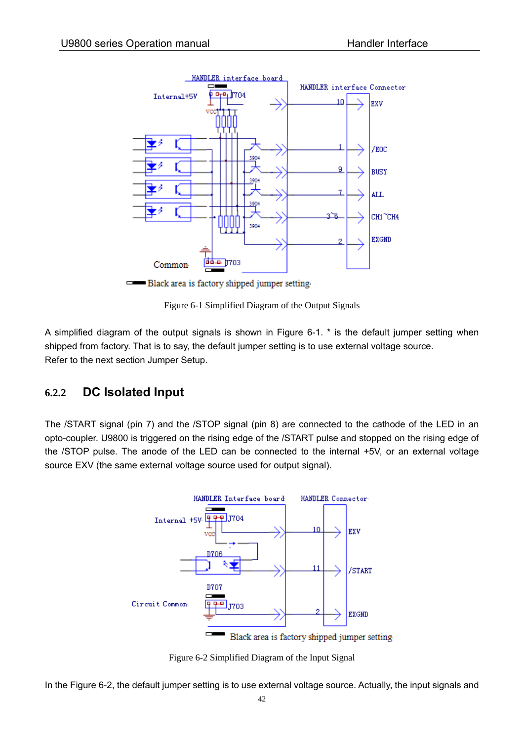

Black area is factory shipped jumper setting.

Figure 6-1 Simplified Diagram of the Output Signals

A simplified diagram of the output signals is shown in Figure 6-1. \* is the default jumper setting when shipped from factory. That is to say, the default jumper setting is to use external voltage source. Refer to the next section Jumper Setup.

#### **6.2.2 DC Isolated Input**

The /START signal (pin 7) and the /STOP signal (pin 8) are connected to the cathode of the LED in an opto-coupler. U9800 is triggered on the rising edge of the /START pulse and stopped on the rising edge of the /STOP pulse. The anode of the LED can be connected to the internal +5V, or an external voltage source EXV (the same external voltage source used for output signal).



Figure 6-2 Simplified Diagram of the Input Signal

In the Figure 6-2, the default jumper setting is to use external voltage source. Actually, the input signals and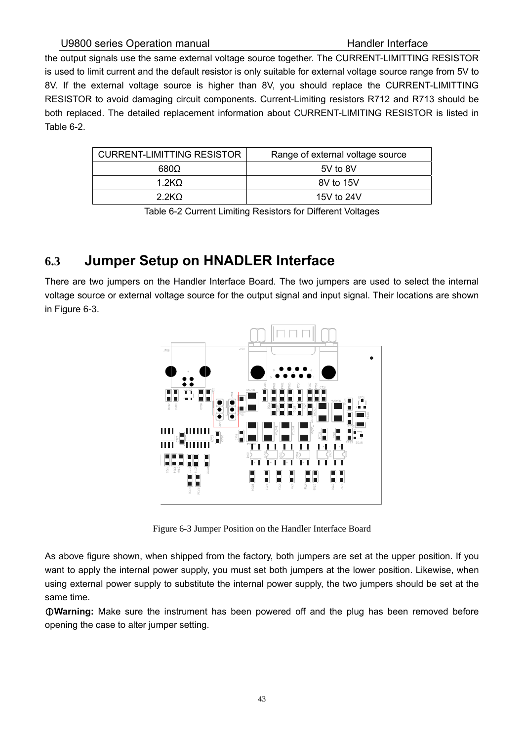the output signals use the same external voltage source together. The CURRENT-LIMITTING RESISTOR is used to limit current and the default resistor is only suitable for external voltage source range from 5V to 8V. If the external voltage source is higher than 8V, you should replace the CURRENT-LIMITTING RESISTOR to avoid damaging circuit components. Current-Limiting resistors R712 and R713 should be both replaced. The detailed replacement information about CURRENT-LIMITING RESISTOR is listed in Table 6-2.

| <b>CURRENT-LIMITTING RESISTOR</b> | Range of external voltage source |
|-----------------------------------|----------------------------------|
| 6800                              | 5V to 8V                         |
| 1 2KO.                            | 8V to 15V                        |
| 2.2 <sub>KO</sub>                 | 15V to 24V                       |

Table 6-2 Current Limiting Resistors for Different Voltages

### **6.3 Jumper Setup on HNADLER Interface**

There are two jumpers on the Handler Interface Board. The two jumpers are used to select the internal voltage source or external voltage source for the output signal and input signal. Their locations are shown in Figure 6-3.



Figure 6-3 Jumper Position on the Handler Interface Board

As above figure shown, when shipped from the factory, both jumpers are set at the upper position. If you want to apply the internal power supply, you must set both jumpers at the lower position. Likewise, when using external power supply to substitute the internal power supply, the two jumpers should be set at the same time.

**Warning:** Make sure the instrument has been powered off and the plug has been removed before opening the case to alter jumper setting.